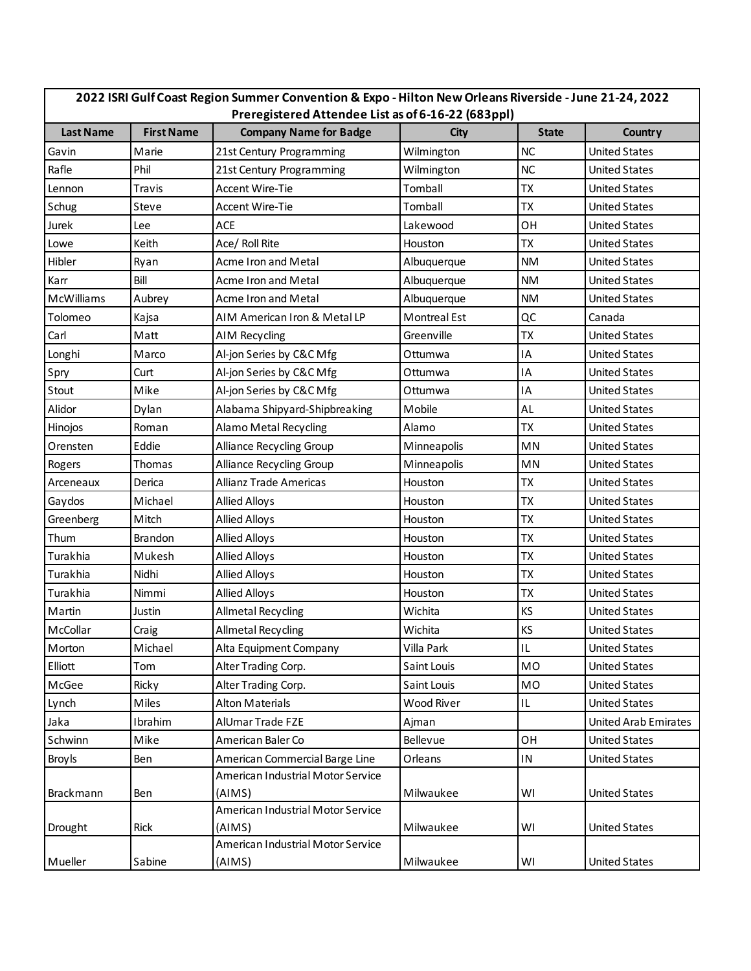| 2022 ISRI Gulf Coast Region Summer Convention & Expo - Hilton New Orleans Riverside - June 21-24, 2022 |                                                    |                                   |                     |              |                             |  |  |  |
|--------------------------------------------------------------------------------------------------------|----------------------------------------------------|-----------------------------------|---------------------|--------------|-----------------------------|--|--|--|
|                                                                                                        | Preregistered Attendee List as of 6-16-22 (683ppl) |                                   |                     |              |                             |  |  |  |
| <b>Last Name</b>                                                                                       | <b>First Name</b>                                  | <b>Company Name for Badge</b>     | <b>City</b>         | <b>State</b> | Country                     |  |  |  |
| Gavin                                                                                                  | Marie                                              | 21st Century Programming          | Wilmington          | <b>NC</b>    | <b>United States</b>        |  |  |  |
| Rafle                                                                                                  | Phil                                               | 21st Century Programming          | Wilmington          | <b>NC</b>    | <b>United States</b>        |  |  |  |
| Lennon                                                                                                 | Travis                                             | <b>Accent Wire-Tie</b>            | Tomball             | ТX           | <b>United States</b>        |  |  |  |
| Schug                                                                                                  | Steve                                              | Accent Wire-Tie                   | Tomball             | <b>TX</b>    | <b>United States</b>        |  |  |  |
| Jurek                                                                                                  | Lee                                                | ACE                               | Lakewood            | OН           | <b>United States</b>        |  |  |  |
| Lowe                                                                                                   | Keith                                              | Ace/ Roll Rite                    | Houston             | TX           | <b>United States</b>        |  |  |  |
| Hibler                                                                                                 | Ryan                                               | Acme Iron and Metal               | Albuquerque         | <b>NM</b>    | <b>United States</b>        |  |  |  |
| Karr                                                                                                   | Bill                                               | Acme Iron and Metal               | Albuquerque         | <b>NM</b>    | <b>United States</b>        |  |  |  |
| McWilliams                                                                                             | Aubrey                                             | Acme Iron and Metal               | Albuquerque         | <b>NM</b>    | <b>United States</b>        |  |  |  |
| Tolomeo                                                                                                | Kajsa                                              | AIM American Iron & Metal LP      | <b>Montreal Est</b> | QC           | Canada                      |  |  |  |
| Carl                                                                                                   | Matt                                               | <b>AIM Recycling</b>              | Greenville          | ТX           | <b>United States</b>        |  |  |  |
| Longhi                                                                                                 | Marco                                              | Al-jon Series by C&C Mfg          | Ottumwa             | IA           | <b>United States</b>        |  |  |  |
| Spry                                                                                                   | Curt                                               | Al-jon Series by C&C Mfg          | Ottumwa             | ΙA           | <b>United States</b>        |  |  |  |
| Stout                                                                                                  | Mike                                               | Al-jon Series by C&C Mfg          | Ottumwa             | IA           | <b>United States</b>        |  |  |  |
| Alidor                                                                                                 | Dylan                                              | Alabama Shipyard-Shipbreaking     | Mobile              | AL           | <b>United States</b>        |  |  |  |
| Hinojos                                                                                                | Roman                                              | Alamo Metal Recycling             | Alamo               | <b>TX</b>    | <b>United States</b>        |  |  |  |
| Orensten                                                                                               | Eddie                                              | Alliance Recycling Group          | Minneapolis         | MN           | <b>United States</b>        |  |  |  |
| Rogers                                                                                                 | Thomas                                             | Alliance Recycling Group          | Minneapolis         | MN           | <b>United States</b>        |  |  |  |
| Arceneaux                                                                                              | Derica                                             | Allianz Trade Americas            | Houston             | ТX           | <b>United States</b>        |  |  |  |
| Gaydos                                                                                                 | Michael                                            | <b>Allied Alloys</b>              | Houston             | <b>TX</b>    | <b>United States</b>        |  |  |  |
| Greenberg                                                                                              | Mitch                                              | <b>Allied Alloys</b>              | Houston             | ТX           | <b>United States</b>        |  |  |  |
| Thum                                                                                                   | Brandon                                            | <b>Allied Alloys</b>              | Houston             | <b>TX</b>    | <b>United States</b>        |  |  |  |
| Turakhia                                                                                               | Mukesh                                             | Allied Alloys                     | Houston             | ТX           | <b>United States</b>        |  |  |  |
| Turakhia                                                                                               | Nidhi                                              | <b>Allied Alloys</b>              | Houston             | <b>TX</b>    | <b>United States</b>        |  |  |  |
| Turakhia                                                                                               | Nimmi                                              | <b>Allied Alloys</b>              | Houston             | TX           | <b>United States</b>        |  |  |  |
| Martin                                                                                                 | Justin                                             | <b>Allmetal Recycling</b>         | Wichita             | KS           | <b>United States</b>        |  |  |  |
| McCollar                                                                                               | Craig                                              | <b>Allmetal Recycling</b>         | Wichita             | KS           | <b>United States</b>        |  |  |  |
| Morton                                                                                                 | Michael                                            | Alta Equipment Company            | Villa Park          | $\sf IL$     | <b>United States</b>        |  |  |  |
| Elliott                                                                                                | Tom                                                | Alter Trading Corp.               | Saint Louis         | <b>MO</b>    | <b>United States</b>        |  |  |  |
| McGee                                                                                                  | Ricky                                              | Alter Trading Corp.               | Saint Louis         | <b>MO</b>    | <b>United States</b>        |  |  |  |
| Lynch                                                                                                  | Miles                                              | <b>Alton Materials</b>            | Wood River          | IL           | <b>United States</b>        |  |  |  |
| Jaka                                                                                                   | Ibrahim                                            | AlUmar Trade FZE                  | Ajman               |              | <b>United Arab Emirates</b> |  |  |  |
| Schwinn                                                                                                | Mike                                               | American Baler Co                 | Bellevue            | OH           | <b>United States</b>        |  |  |  |
| <b>Broy Is</b>                                                                                         | Ben                                                | American Commercial Barge Line    | Orleans             | IN           | <b>United States</b>        |  |  |  |
|                                                                                                        |                                                    | American Industrial Motor Service |                     |              |                             |  |  |  |
| Brackmann                                                                                              | Ben                                                | (AIMS)                            | Milwaukee           | WI           | <b>United States</b>        |  |  |  |
|                                                                                                        |                                                    | American Industrial Motor Service |                     |              |                             |  |  |  |
| Drought                                                                                                | Rick                                               | (AIMS)                            | Milwaukee           | WI           | <b>United States</b>        |  |  |  |
|                                                                                                        |                                                    | American Industrial Motor Service |                     |              |                             |  |  |  |
| Mueller                                                                                                | Sabine                                             | (AIMS)                            | Milwaukee           | WI           | <b>United States</b>        |  |  |  |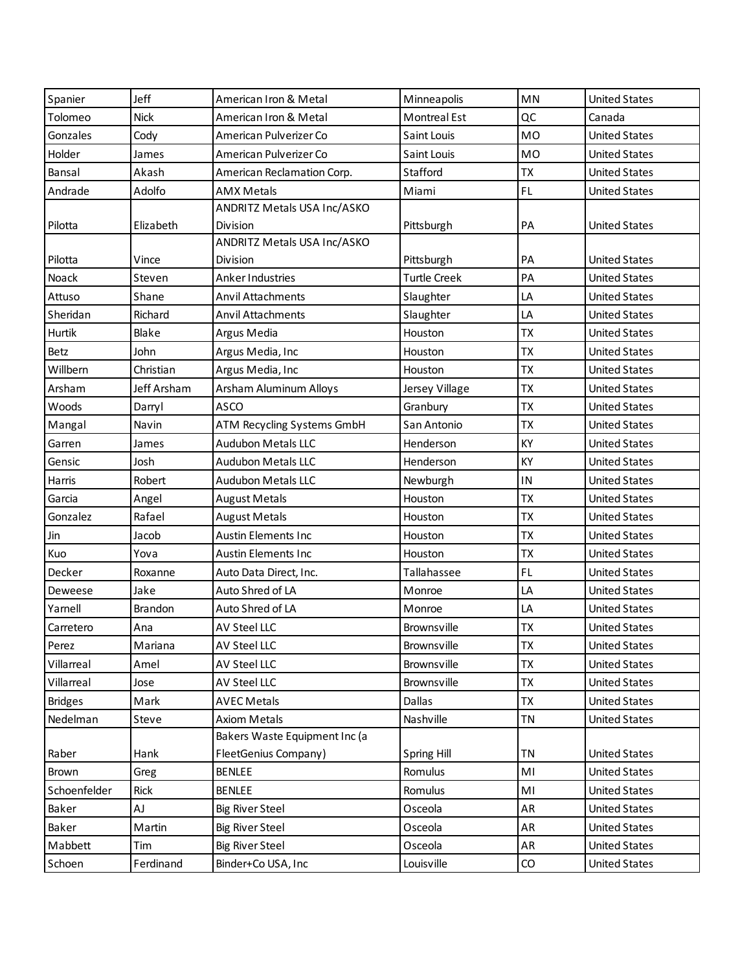| Spanier        | Jeff        | American Iron & Metal         | Minneapolis         | MN        | <b>United States</b> |
|----------------|-------------|-------------------------------|---------------------|-----------|----------------------|
| Tolomeo        | <b>Nick</b> | American Iron & Metal         | <b>Montreal Est</b> | QC        | Canada               |
| Gonzales       | Cody        | American Pulverizer Co        | Saint Louis         | <b>MO</b> | <b>United States</b> |
| Holder         | James       | American Pulverizer Co        | Saint Louis         | <b>MO</b> | <b>United States</b> |
| Bansal         | Akash       | American Reclamation Corp.    | Stafford            | <b>ΤΧ</b> | <b>United States</b> |
| Andrade        | Adolfo      | AMX Metals                    | Miami               | FL.       | <b>United States</b> |
|                |             | ANDRITZ Metals USA Inc/ASKO   |                     |           |                      |
| Pilotta        | Elizabeth   | Division                      | Pittsburgh          | PA        | <b>United States</b> |
|                |             | ANDRITZ Metals USA Inc/ASKO   |                     |           |                      |
| Pilotta        | Vince       | Division                      | Pittsburgh          | PA        | <b>United States</b> |
| Noack          | Steven      | Anker Industries              | <b>Turtle Creek</b> | PA        | <b>United States</b> |
| Attuso         | Shane       | Anvil Attachments             | Slaughter           | LA        | <b>United States</b> |
| Sheridan       | Richard     | Anvil Attachments             | Slaughter           | LA        | <b>United States</b> |
| Hurtik         | Blake       | Argus Media                   | Houston             | <b>TX</b> | <b>United States</b> |
| Betz           | John        | Argus Media, Inc              | Houston             | <b>TX</b> | <b>United States</b> |
| Willbern       | Christian   | Argus Media, Inc              | Houston             | <b>ΤΧ</b> | <b>United States</b> |
| Arsham         | Jeff Arsham | Arsham Aluminum Alloys        | Jersey Village      | <b>TX</b> | <b>United States</b> |
| Woods          | Darryl      | <b>ASCO</b>                   | Granbury            | <b>TX</b> | <b>United States</b> |
| Mangal         | Navin       | ATM Recycling Systems GmbH    | San Antonio         | <b>TX</b> | <b>United States</b> |
| Garren         | James       | <b>Audubon Metals LLC</b>     | Henderson           | KY        | <b>United States</b> |
| Gensic         | Josh        | <b>Audubon Metals LLC</b>     | Henderson           | KY        | <b>United States</b> |
| Harris         | Robert      | <b>Audubon Metals LLC</b>     | Newburgh            | IN        | <b>United States</b> |
| Garcia         | Angel       | <b>August Metals</b>          | Houston             | <b>TX</b> | <b>United States</b> |
| Gonzalez       | Rafael      | <b>August Metals</b>          | Houston             | <b>ΤΧ</b> | <b>United States</b> |
| Jin            | Jacob       | <b>Austin Elements Inc</b>    | Houston             | <b>TX</b> | <b>United States</b> |
| Kuo            | Yova        | Austin Elements Inc           | Houston             | <b>TX</b> | <b>United States</b> |
| Decker         | Roxanne     | Auto Data Direct, Inc.        | Tallahassee         | FL.       | <b>United States</b> |
| Deweese        | Jake        | Auto Shred of LA              | Monroe              | LA        | <b>United States</b> |
| Yarnell        | Brandon     | Auto Shred of LA              | Monroe              | LA        | <b>United States</b> |
| Carretero      | Ana         | AV Steel LLC                  | Brownsville         | <b>ΤX</b> | <b>United States</b> |
| Perez          | Mariana     | AV Steel LLC                  | Brownsville         | <b>ΤX</b> | <b>United States</b> |
| Villarreal     | Amel        | AV Steel LLC                  | Brownsville         | ТX        | <b>United States</b> |
| Villarreal     | Jose        | AV Steel LLC                  | Brownsville         | <b>TX</b> | <b>United States</b> |
| <b>Bridges</b> | Mark        | <b>AVEC Metals</b>            | Dallas              | TX        | <b>United States</b> |
| Nedelman       | Steve       | <b>Axiom Metals</b>           | Nashville           | <b>TN</b> | <b>United States</b> |
|                |             | Bakers Waste Equipment Inc (a |                     |           |                      |
| Raber          | Hank        | FleetGenius Company)          | Spring Hill         | ΤN        | <b>United States</b> |
| Brown          | Greg        | <b>BENLEE</b>                 | Romulus             | MI        | <b>United States</b> |
| Schoenfelder   | Rick        | <b>BENLEE</b>                 | Romulus             | MI        | <b>United States</b> |
| Baker          | AJ          | <b>Big River Steel</b>        | Osceola             | AR        | <b>United States</b> |
| Baker          | Martin      | <b>Big River Steel</b>        | Osceola             | AR        | <b>United States</b> |
| Mabbett        | Tim         | <b>Big River Steel</b>        | Osceola             | AR        | <b>United States</b> |
| Schoen         | Ferdinand   | Binder+Co USA, Inc            | Louisville          | CO        | <b>United States</b> |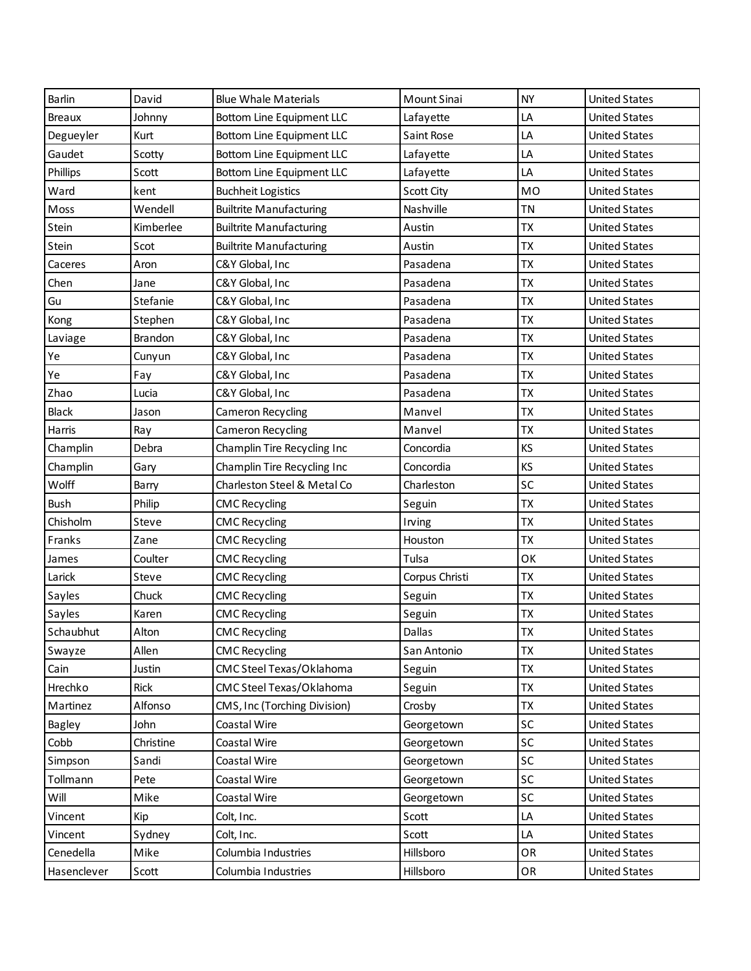| Barlin        | David          | <b>Blue Whale Materials</b>    | Mount Sinai       | <b>NY</b> | <b>United States</b> |
|---------------|----------------|--------------------------------|-------------------|-----------|----------------------|
| <b>Breaux</b> | Johnny         | Bottom Line Equipment LLC      | Lafayette         | LA        | <b>United States</b> |
| Degueyler     | Kurt           | Bottom Line Equipment LLC      | Saint Rose        | LA        | <b>United States</b> |
| Gaudet        | Scotty         | Bottom Line Equipment LLC      | Lafayette         | LA        | <b>United States</b> |
| Phillips      | Scott          | Bottom Line Equipment LLC      | Lafayette         | LA        | <b>United States</b> |
| Ward          | kent           | <b>Buchheit Logistics</b>      | <b>Scott City</b> | <b>MO</b> | <b>United States</b> |
| Moss          | Wendell        | <b>Builtrite Manufacturing</b> | Nashville         | <b>TN</b> | <b>United States</b> |
| Stein         | Kimberlee      | <b>Builtrite Manufacturing</b> | Austin            | <b>TX</b> | <b>United States</b> |
| Stein         | Scot           | <b>Builtrite Manufacturing</b> | Austin            | <b>ΤX</b> | <b>United States</b> |
| Caceres       | Aron           | C&Y Global, Inc                | Pasadena          | <b>ΤΧ</b> | <b>United States</b> |
| Chen          | Jane           | C&Y Global, Inc                | Pasadena          | <b>ΤX</b> | <b>United States</b> |
| Gu            | Stefanie       | C&Y Global, Inc                | Pasadena          | <b>TX</b> | <b>United States</b> |
| Kong          | Stephen        | C&Y Global, Inc                | Pasadena          | <b>ΤX</b> | <b>United States</b> |
| Laviage       | <b>Brandon</b> | C&Y Global, Inc                | Pasadena          | <b>TX</b> | <b>United States</b> |
| Ye            | Cunyun         | C&Y Global, Inc                | Pasadena          | <b>ΤX</b> | <b>United States</b> |
| Ye            | Fay            | C&Y Global, Inc                | Pasadena          | <b>ΤΧ</b> | <b>United States</b> |
| Zhao          | Lucia          | C&Y Global, Inc                | Pasadena          | <b>ΤX</b> | <b>United States</b> |
| <b>Black</b>  | Jason          | Cameron Recycling              | Manvel            | <b>ΤΧ</b> | <b>United States</b> |
| Harris        | Ray            | Cameron Recycling              | Manvel            | <b>ΤΧ</b> | <b>United States</b> |
| Champlin      | Debra          | Champlin Tire Recycling Inc    | Concordia         | KS        | <b>United States</b> |
| Champlin      | Gary           | Champlin Tire Recycling Inc    | Concordia         | KS        | <b>United States</b> |
| Wolff         | Barry          | Charleston Steel & Metal Co    | Charleston        | SC        | <b>United States</b> |
| <b>Bush</b>   | Philip         | <b>CMC Recycling</b>           | Seguin            | <b>TX</b> | <b>United States</b> |
| Chisholm      | Steve          | <b>CMC Recycling</b>           | Irving            | <b>ΤΧ</b> | <b>United States</b> |
| Franks        | Zane           | <b>CMC Recycling</b>           | Houston           | <b>ΤX</b> | <b>United States</b> |
| James         | Coulter        | <b>CMC Recycling</b>           | Tulsa             | OK        | <b>United States</b> |
| Larick        | Steve          | <b>CMC Recycling</b>           | Corpus Christi    | <b>ΤX</b> | <b>United States</b> |
| Sayles        | Chuck          | <b>CMC Recycling</b>           | Seguin            | <b>TX</b> | <b>United States</b> |
| Sayles        | Karen          | <b>CMC Recycling</b>           | Seguin            | TX        | <b>United States</b> |
| Schaubhut     | Alton          | <b>CMC Recycling</b>           | Dallas            | TX        | <b>United States</b> |
| Swayze        | Allen          | <b>CMC Recycling</b>           | San Antonio       | <b>TX</b> | <b>United States</b> |
| Cain          | Justin         | CMC Steel Texas/Oklahoma       | Seguin            | <b>TX</b> | <b>United States</b> |
| Hrechko       | Rick           | CMC Steel Texas/Oklahoma       | Seguin            | <b>TX</b> | <b>United States</b> |
| Martinez      | Alfonso        | CMS, Inc (Torching Division)   | Crosby            | <b>TX</b> | <b>United States</b> |
| Bagley        | John           | Coastal Wire                   | Georgetown        | <b>SC</b> | <b>United States</b> |
| Cobb          | Christine      | Coastal Wire                   | Georgetown        | SC        | <b>United States</b> |
| Simpson       | Sandi          | Coastal Wire                   | Georgetown        | SC        | <b>United States</b> |
| Tollmann      | Pete           | Coastal Wire                   | Georgetown        | SC        | <b>United States</b> |
| Will          | Mike           | Coastal Wire                   | Georgetown        | SC        | <b>United States</b> |
| Vincent       | Kip            | Colt, Inc.                     | Scott             | LA        | <b>United States</b> |
| Vincent       | Sydney         | Colt, Inc.                     | Scott             | LA        | <b>United States</b> |
| Cenedella     | Mike           | Columbia Industries            | Hillsboro         | OR        | <b>United States</b> |
| Hasenclever   | Scott          | Columbia Industries            | Hillsboro         | OR        | <b>United States</b> |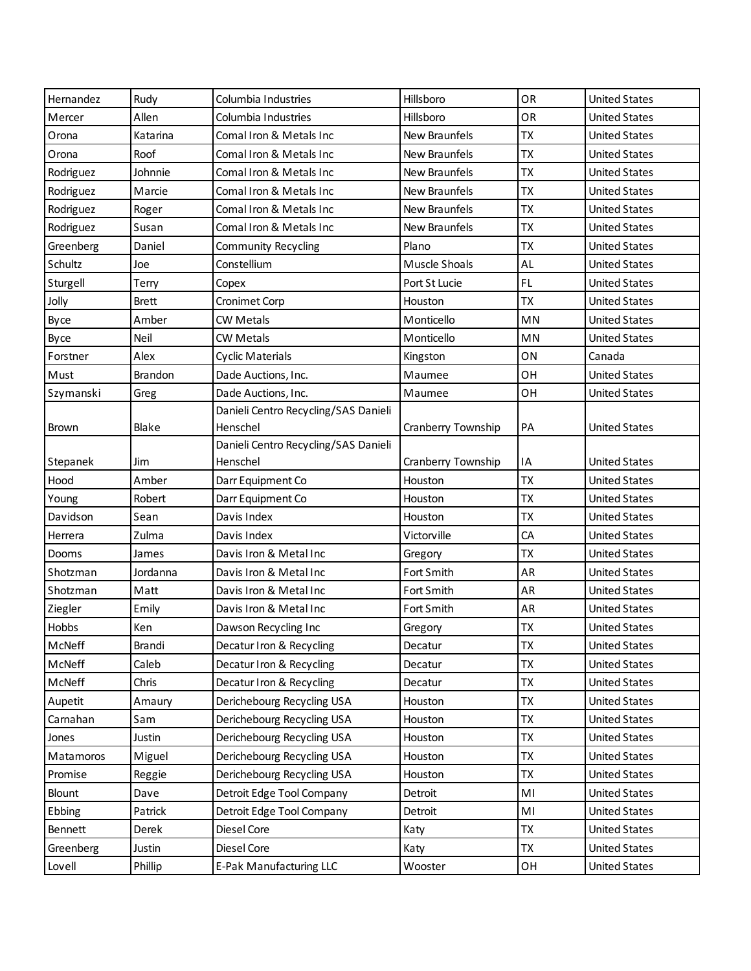| Hernandez    | Rudy           | Columbia Industries                  | Hillsboro          | OR        | <b>United States</b> |
|--------------|----------------|--------------------------------------|--------------------|-----------|----------------------|
| Mercer       | Allen          | Columbia Industries                  | Hillsboro          | OR        | <b>United States</b> |
| Orona        | Katarina       | Comal Iron & Metals Inc              | New Braunfels      | <b>TX</b> | <b>United States</b> |
| Orona        | Roof           | Comal Iron & Metals Inc              | New Braunfels      | <b>TX</b> | <b>United States</b> |
| Rodriguez    | Johnnie        | Comal Iron & Metals Inc              | New Braunfels      | <b>TX</b> | <b>United States</b> |
| Rodriguez    | Marcie         | Comal Iron & Metals Inc              | New Braunfels      | <b>TX</b> | <b>United States</b> |
| Rodriguez    | Roger          | Comal Iron & Metals Inc              | New Braunfels      | <b>TX</b> | <b>United States</b> |
| Rodriguez    | Susan          | Comal Iron & Metals Inc              | New Braunfels      | <b>TX</b> | <b>United States</b> |
| Greenberg    | Daniel         | Community Recycling                  | Plano              | <b>TX</b> | <b>United States</b> |
| Schultz      | Joe            | Constellium                          | Muscle Shoals      | AL        | <b>United States</b> |
| Sturgell     | Terry          | Copex                                | Port St Lucie      | FL.       | <b>United States</b> |
| Jolly        | <b>Brett</b>   | Cronimet Corp                        | Houston            | <b>TX</b> | <b>United States</b> |
| Byce         | Amber          | <b>CW Metals</b>                     | Monticello         | MN        | <b>United States</b> |
| Byce         | <b>Neil</b>    | <b>CW Metals</b>                     | Monticello         | MN        | <b>United States</b> |
| Forstner     | Alex           | Cyclic Materials                     | Kingston           | ON        | Canada               |
| Must         | <b>Brandon</b> | Dade Auctions, Inc.                  | Maumee             | OH        | <b>United States</b> |
| Szymanski    | Greg           | Dade Auctions, Inc.                  | Maumee             | OH        | <b>United States</b> |
|              |                | Danieli Centro Recycling/SAS Danieli |                    |           |                      |
| Brown        | Blake          | Henschel                             | Cranberry Township | PA        | <b>United States</b> |
|              |                | Danieli Centro Recycling/SAS Danieli |                    |           |                      |
| Stepanek     | Jim            | Henschel                             | Cranberry Township | IA        | <b>United States</b> |
| Hood         | Amber          | Darr Equipment Co                    | Houston            | <b>ΤΧ</b> | <b>United States</b> |
| Young        | Robert         | Darr Equipment Co                    | Houston            | <b>TX</b> | <b>United States</b> |
| Davidson     | Sean           | Davis Index                          | Houston            | <b>ΤΧ</b> | <b>United States</b> |
| Herrera      | Zulma          | Davis Index                          | Victorville        | CA        | <b>United States</b> |
| Dooms        | James          | Davis Iron & Metal Inc               | Gregory            | <b>TX</b> | <b>United States</b> |
| Shotzman     | Jordanna       | Davis Iron & Metal Inc               | Fort Smith         | AR        | <b>United States</b> |
| Shotzman     | Matt           | Davis Iron & Metal Inc               | Fort Smith         | AR        | <b>United States</b> |
| Ziegler      | Emily          | Davis Iron & Metal Inc               | Fort Smith         | AR        | <b>United States</b> |
| <b>Hobbs</b> | Ken            | Dawson Recycling Inc                 | Gregory            | ТX        | <b>United States</b> |
| McNeff       | Brandi         | Decatur Iron & Recycling             | Decatur            | <b>TX</b> | <b>United States</b> |
| McNeff       | Caleb          | Decatur Iron & Recycling             | Decatur            | TX        | <b>United States</b> |
| McNeff       | Chris          | Decatur Iron & Recycling             | Decatur            | <b>TX</b> | <b>United States</b> |
| Aupetit      | Amaury         | Derichebourg Recycling USA           | Houston            | TX        | <b>United States</b> |
| Carnahan     | Sam            | Derichebourg Recycling USA           | Houston            | <b>TX</b> | <b>United States</b> |
| Jones        | Justin         | Derichebourg Recycling USA           | Houston            | TX        | <b>United States</b> |
| Matamoros    | Miguel         | Derichebourg Recycling USA           | Houston            | <b>ΤX</b> | <b>United States</b> |
| Promise      | Reggie         | Derichebourg Recycling USA           | Houston            | TX        | <b>United States</b> |
| Blount       | Dave           | Detroit Edge Tool Company            | Detroit            | MI        | <b>United States</b> |
| Ebbing       | Patrick        | Detroit Edge Tool Company            | Detroit            | MI        | <b>United States</b> |
| Bennett      | Derek          | Diesel Core                          | Katy               | <b>TX</b> | <b>United States</b> |
| Greenberg    | Justin         | Diesel Core                          | Katy               | <b>TX</b> | <b>United States</b> |
| Lovell       | Phillip        | E-Pak Manufacturing LLC              | Wooster            | ОH        | <b>United States</b> |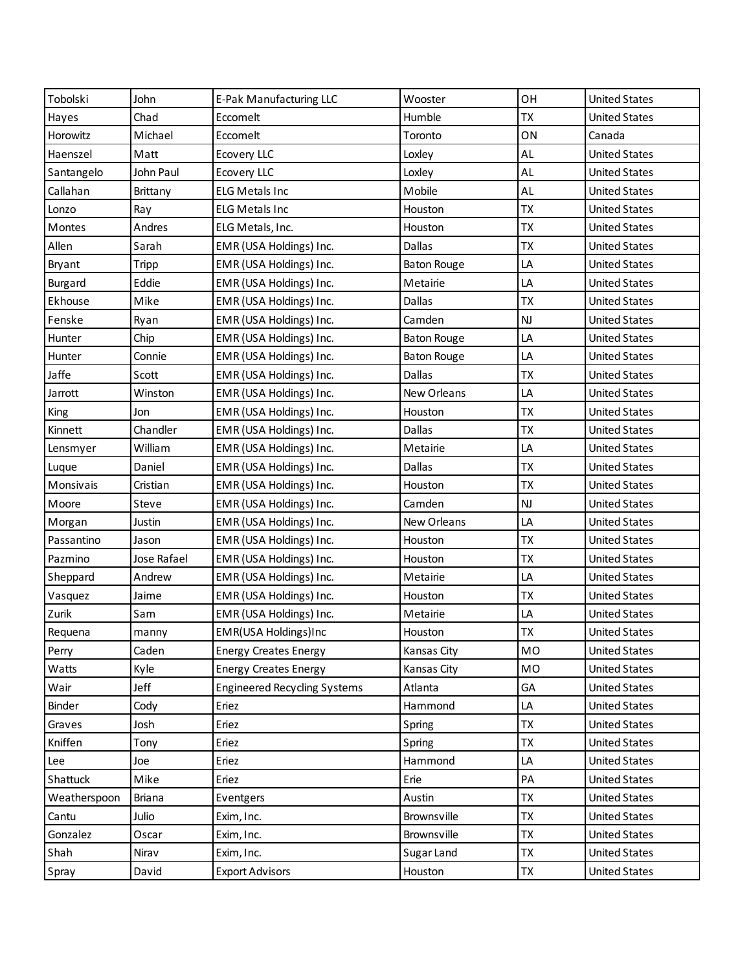| Tobolski     | John        | E-Pak Manufacturing LLC             | Wooster            | OH        | <b>United States</b> |
|--------------|-------------|-------------------------------------|--------------------|-----------|----------------------|
| Hayes        | Chad        | Eccomelt                            | Humble             | <b>ΤX</b> | <b>United States</b> |
| Horowitz     | Michael     | Eccomelt                            | Toronto            | ON        | Canada               |
| Haenszel     | Matt        | Ecovery LLC                         | Loxley             | AL        | <b>United States</b> |
| Santangelo   | John Paul   | Ecovery LLC                         | Loxley             | AL        | <b>United States</b> |
| Callahan     | Brittany    | <b>ELG Metals Inc</b>               | Mobile             | AL        | <b>United States</b> |
| Lonzo        | Ray         | <b>ELG Metals Inc</b>               | Houston            | <b>ΤX</b> | <b>United States</b> |
| Montes       | Andres      | ELG Metals, Inc.                    | Houston            | <b>ΤΧ</b> | <b>United States</b> |
| Allen        | Sarah       | EMR (USA Holdings) Inc.             | Dallas             | TX        | <b>United States</b> |
| Bryant       | Tripp       | EMR (USA Holdings) Inc.             | <b>Baton Rouge</b> | LA        | <b>United States</b> |
| Burgard      | Eddie       | EMR (USA Holdings) Inc.             | Metairie           | LA        | <b>United States</b> |
| Ekhouse      | Mike        | EMR (USA Holdings) Inc.             | Dallas             | <b>ΤΧ</b> | <b>United States</b> |
| Fenske       | Ryan        | EMR (USA Holdings) Inc.             | Camden             | <b>NJ</b> | <b>United States</b> |
| Hunter       | Chip        | EMR (USA Holdings) Inc.             | <b>Baton Rouge</b> | LA        | <b>United States</b> |
| Hunter       | Connie      | EMR (USA Holdings) Inc.             | <b>Baton Rouge</b> | LA        | <b>United States</b> |
| Jaffe        | Scott       | EMR (USA Holdings) Inc.             | Dallas             | <b>ΤΧ</b> | <b>United States</b> |
| Jarrott      | Winston     | EMR (USA Holdings) Inc.             | New Orleans        | LA        | <b>United States</b> |
| King         | Jon         | EMR (USA Holdings) Inc.             | Houston            | <b>ΤΧ</b> | <b>United States</b> |
| Kinnett      | Chandler    | EMR (USA Holdings) Inc.             | Dallas             | <b>ΤX</b> | <b>United States</b> |
| Lensmyer     | William     | EMR (USA Holdings) Inc.             | Metairie           | LA        | <b>United States</b> |
| Luque        | Daniel      | EMR (USA Holdings) Inc.             | Dallas             | TX        | <b>United States</b> |
| Monsivais    | Cristian    | EMR (USA Holdings) Inc.             | Houston            | <b>ΤΧ</b> | <b>United States</b> |
| Moore        | Steve       | EMR (USA Holdings) Inc.             | Camden             | <b>NJ</b> | <b>United States</b> |
| Morgan       | Justin      | EMR (USA Holdings) Inc.             | New Orleans        | LA        | <b>United States</b> |
| Passantino   | Jason       | EMR (USA Holdings) Inc.             | Houston            | TX        | <b>United States</b> |
| Pazmino      | Jose Rafael | EMR (USA Holdings) Inc.             | Houston            | <b>ΤΧ</b> | <b>United States</b> |
| Sheppard     | Andrew      | EMR (USA Holdings) Inc.             | Metairie           | LA        | <b>United States</b> |
| Vasquez      | Jaime       | EMR (USA Holdings) Inc.             | Houston            | <b>ΤΧ</b> | <b>United States</b> |
| Zurik        | Sam         | EMR (USA Holdings) Inc.             | Metairie           | LA        | <b>United States</b> |
| Requena      | manny       | EMR(USA Holdings)Inc                | Houston            | TX        | <b>United States</b> |
| Perry        | Caden       | <b>Energy Creates Energy</b>        | Kansas City        | MO        | <b>United States</b> |
| Watts        | Kyle        | <b>Energy Creates Energy</b>        | Kansas City        | MO        | <b>United States</b> |
| Wair         | Jeff        | <b>Engineered Recycling Systems</b> | Atlanta            | GA        | <b>United States</b> |
| Binder       | Cody        | Eriez                               | Hammond            | LA        | <b>United States</b> |
| Graves       | Josh        | Eriez                               | Spring             | <b>TX</b> | <b>United States</b> |
| Kniffen      | Tony        | Eriez                               | Spring             | <b>TX</b> | <b>United States</b> |
| Lee          | Joe         | Eriez                               | Hammond            | LA        | <b>United States</b> |
| Shattuck     | Mike        | Eriez                               | Erie               | PA        | <b>United States</b> |
| Weatherspoon | Briana      | Eventgers                           | Austin             | TX        | <b>United States</b> |
| Cantu        | Julio       | Exim, Inc.                          | Brownsville        | <b>TX</b> | <b>United States</b> |
| Gonzalez     | Oscar       | Exim, Inc.                          | Brownsville        | TX        | <b>United States</b> |
| Shah         | Nirav       | Exim, Inc.                          | Sugar Land         | <b>TX</b> | <b>United States</b> |
| Spray        | David       | <b>Export Advisors</b>              | Houston            | TX        | <b>United States</b> |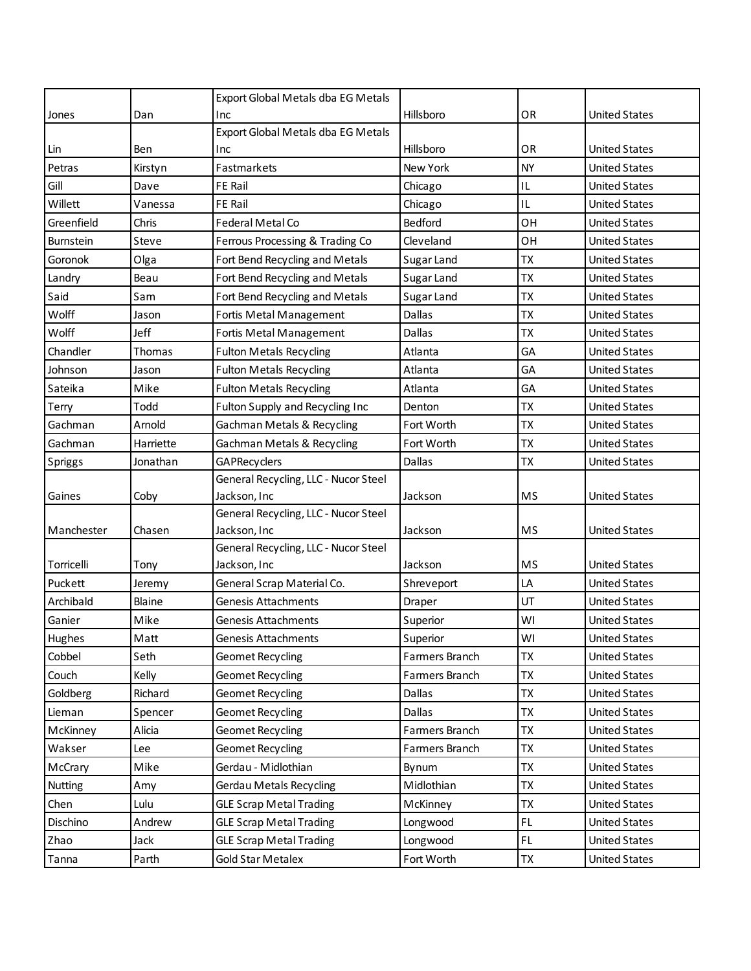|                  |           | Export Global Metals dba EG Metals    |                |           |                      |
|------------------|-----------|---------------------------------------|----------------|-----------|----------------------|
| Jones            | Dan       | Inc                                   | Hillsboro      | OR        | <b>United States</b> |
|                  |           | Export Global Metals dba EG Metals    |                |           |                      |
| Lin              | Ben       | Inc                                   | Hillsboro      | <b>OR</b> | <b>United States</b> |
| Petras           | Kirstyn   | Fastmarkets                           | New York       | <b>NY</b> | <b>United States</b> |
| Gill             | Dave      | <b>FE Rail</b>                        | Chicago        | IL        | <b>United States</b> |
| Willett          | Vanessa   | FE Rail                               | Chicago        | IL        | <b>United States</b> |
| Greenfield       | Chris     | <b>Federal Metal Co</b>               | Bedford        | OH        | <b>United States</b> |
| <b>Burnstein</b> | Steve     | Ferrous Processing & Trading Co       | Cleveland      | OH        | <b>United States</b> |
| Goronok          | Olga      | Fort Bend Recycling and Metals        | Sugar Land     | TX        | <b>United States</b> |
| Landry           | Beau      | Fort Bend Recycling and Metals        | Sugar Land     | <b>TX</b> | <b>United States</b> |
| Said             | Sam       | Fort Bend Recycling and Metals        | Sugar Land     | <b>TX</b> | <b>United States</b> |
| Wolff            | Jason     | Fortis Metal Management               | Dallas         | <b>TX</b> | <b>United States</b> |
| Wolff            | Jeff      | Fortis Metal Management               | Dallas         | <b>TX</b> | <b>United States</b> |
| Chandler         | Thomas    | <b>Fulton Metals Recycling</b>        | Atlanta        | GA        | <b>United States</b> |
| Johnson          | Jason     | <b>Fulton Metals Recycling</b>        | Atlanta        | GA        | <b>United States</b> |
| Sateika          | Mike      | <b>Fulton Metals Recycling</b>        | Atlanta        | GA        | <b>United States</b> |
| Terry            | Todd      | Fulton Supply and Recycling Inc       | Denton         | <b>TX</b> | <b>United States</b> |
| Gachman          | Arnold    | <b>Gachman Metals &amp; Recycling</b> | Fort Worth     | <b>TX</b> | <b>United States</b> |
| Gachman          | Harriette | Gachman Metals & Recycling            | Fort Worth     | <b>TX</b> | <b>United States</b> |
| Spriggs          | Jonathan  | GAPRecyclers                          | Dallas         | <b>TX</b> | <b>United States</b> |
|                  |           | General Recycling, LLC - Nucor Steel  |                |           |                      |
| Gaines           | Coby      | Jackson, Inc                          | Jackson        | <b>MS</b> | <b>United States</b> |
|                  |           | General Recycling, LLC - Nucor Steel  |                |           |                      |
| Manchester       | Chasen    | Jackson, Inc                          | Jackson        | <b>MS</b> | <b>United States</b> |
|                  |           | General Recycling, LLC - Nucor Steel  |                |           |                      |
| Torricelli       | Tony      | Jackson, Inc                          | Jackson        | <b>MS</b> | <b>United States</b> |
| Puckett          | Jeremy    | General Scrap Material Co.            | Shreveport     | LA        | <b>United States</b> |
| Archibald        | Blaine    | <b>Genesis Attachments</b>            | Draper         | UT        | <b>United States</b> |
| Ganier           | Mike      | Genesis Attachments                   | Superior       | WI        | <b>United States</b> |
| Hughes           | Matt      | Genesis Attachments                   | Superior       | WI        | <b>United States</b> |
| Cobbel           | Seth      | Geomet Recycling                      | Farmers Branch | <b>TX</b> | <b>United States</b> |
| Couch            | Kelly     | <b>Geomet Recycling</b>               | Farmers Branch | <b>TX</b> | <b>United States</b> |
| Goldberg         | Richard   | Geomet Recycling                      | Dallas         | <b>TX</b> | <b>United States</b> |
| Lieman           | Spencer   | <b>Geomet Recycling</b>               | Dallas         | <b>TX</b> | <b>United States</b> |
| McKinney         | Alicia    | Geomet Recycling                      | Farmers Branch | TX        | <b>United States</b> |
| Wakser           | Lee       | Geomet Recycling                      | Farmers Branch | <b>TX</b> | <b>United States</b> |
| McCrary          | Mike      | Gerdau - Midlothian                   | Bynum          | TX        | <b>United States</b> |
| Nutting          | Amy       | <b>Gerdau Metals Recycling</b>        | Midlothian     | <b>TX</b> | <b>United States</b> |
| Chen             | Lulu      | <b>GLE Scrap Metal Trading</b>        | McKinney       | TX        | <b>United States</b> |
| Dischino         | Andrew    | <b>GLE Scrap Metal Trading</b>        | Longwood       | FL.       | <b>United States</b> |
| Zhao             | Jack      | <b>GLE Scrap Metal Trading</b>        | Longwood       | FL        | <b>United States</b> |
| Tanna            | Parth     | <b>Gold Star Metalex</b>              | Fort Worth     | TX        | <b>United States</b> |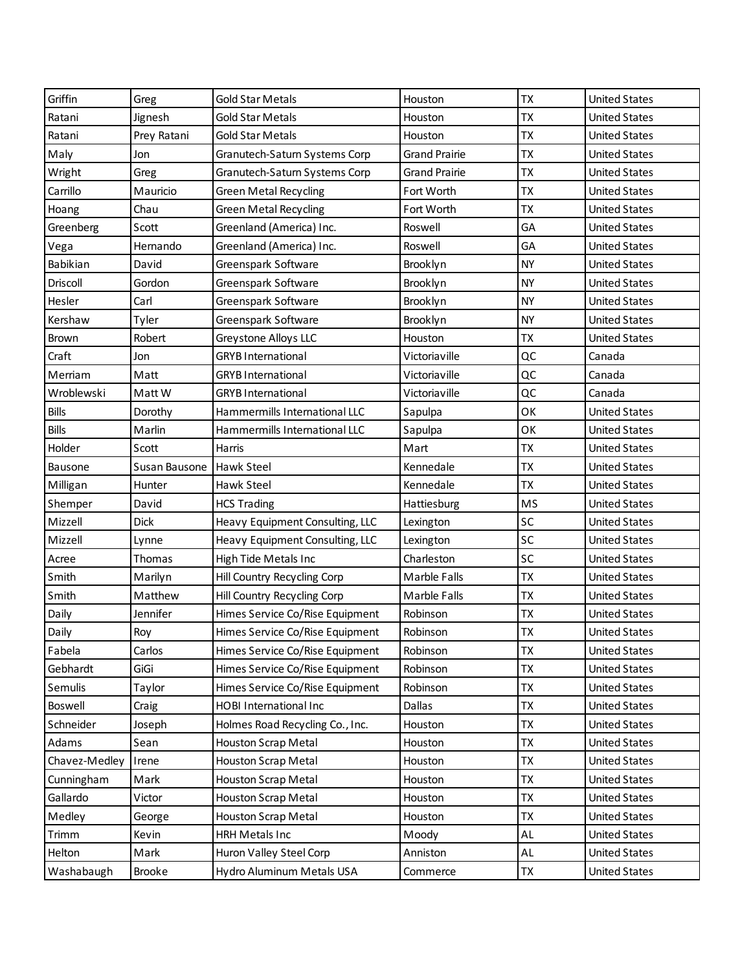| Griffin       | Greg          | <b>Gold Star Metals</b>         | Houston              | <b>TX</b> | <b>United States</b> |
|---------------|---------------|---------------------------------|----------------------|-----------|----------------------|
| Ratani        | Jignesh       | <b>Gold Star Metals</b>         | Houston              | <b>TX</b> | <b>United States</b> |
| Ratani        | Prey Ratani   | <b>Gold Star Metals</b>         | Houston              | <b>TX</b> | <b>United States</b> |
| Maly          | Jon           | Granutech-Saturn Systems Corp   | <b>Grand Prairie</b> | <b>TX</b> | <b>United States</b> |
| Wright        | Greg          | Granutech-Saturn Systems Corp   | <b>Grand Prairie</b> | <b>TX</b> | <b>United States</b> |
| Carrillo      | Mauricio      | <b>Green Metal Recycling</b>    | Fort Worth           | <b>TX</b> | <b>United States</b> |
| Hoang         | Chau          | <b>Green Metal Recycling</b>    | Fort Worth           | <b>TX</b> | <b>United States</b> |
| Greenberg     | Scott         | Greenland (America) Inc.        | Roswell              | GA        | <b>United States</b> |
| Vega          | Hernando      | Greenland (America) Inc.        | Roswell              | GA        | <b>United States</b> |
| Babikian      | David         | Greenspark Software             | Brooklyn             | <b>NY</b> | <b>United States</b> |
| Driscoll      | Gordon        | Greenspark Software             | Brooklyn             | <b>NY</b> | <b>United States</b> |
| Hesler        | Carl          | Greenspark Software             | Brooklyn             | <b>NY</b> | <b>United States</b> |
| Kershaw       | Tyler         | Greenspark Software             | Brooklyn             | <b>NY</b> | <b>United States</b> |
| Brown         | Robert        | Greystone Alloys LLC            | Houston              | <b>TX</b> | <b>United States</b> |
| Craft         | Jon           | <b>GRYB</b> International       | Victoriaville        | QC        | Canada               |
| Merriam       | Matt          | <b>GRYB</b> International       | Victoriaville        | QC        | Canada               |
| Wroblewski    | Matt W        | <b>GRYB</b> International       | Victoriaville        | QC        | Canada               |
| <b>Bills</b>  | Dorothy       | Hammermills International LLC   | Sapulpa              | OK        | <b>United States</b> |
| <b>Bills</b>  | Marlin        | Hammermills International LLC   | Sapulpa              | OK        | <b>United States</b> |
| Holder        | Scott         | Harris                          | Mart                 | <b>TX</b> | <b>United States</b> |
| Bausone       | Susan Bausone | <b>Hawk Steel</b>               | Kennedale            | <b>TX</b> | <b>United States</b> |
| Milligan      | Hunter        | Hawk Steel                      | Kennedale            | <b>TX</b> | <b>United States</b> |
| Shemper       | David         | <b>HCS Trading</b>              | Hattiesburg          | <b>MS</b> | <b>United States</b> |
| Mizzell       | <b>Dick</b>   | Heavy Equipment Consulting, LLC | Lexington            | SC        | <b>United States</b> |
| Mizzell       | Lynne         | Heavy Equipment Consulting, LLC | Lexington            | SC        | <b>United States</b> |
| Acree         | Thomas        | High Tide Metals Inc            | Charleston           | SC        | <b>United States</b> |
| Smith         | Marilyn       | Hill Country Recycling Corp     | Marble Falls         | <b>TX</b> | <b>United States</b> |
| Smith         | Matthew       | Hill Country Recycling Corp     | Marble Falls         | <b>TX</b> | <b>United States</b> |
| Daily         | Jennifer      | Himes Service Co/Rise Equipment | Robinson             | <b>ΤΧ</b> | <b>United States</b> |
| Daily         | Roy           | Himes Service Co/Rise Equipment | Robinson             | <b>TX</b> | <b>United States</b> |
| Fabela        | Carlos        | Himes Service Co/Rise Equipment | Robinson             | <b>TX</b> | <b>United States</b> |
| Gebhardt      | GiGi          | Himes Service Co/Rise Equipment | Robinson             | <b>TX</b> | <b>United States</b> |
| Semulis       | Taylor        | Himes Service Co/Rise Equipment | Robinson             | <b>TX</b> | <b>United States</b> |
| Boswell       | Craig         | HOBI International Inc          | Dallas               | <b>TX</b> | <b>United States</b> |
| Schneider     | Joseph        | Holmes Road Recycling Co., Inc. | Houston              | <b>TX</b> | <b>United States</b> |
| Adams         | Sean          | <b>Houston Scrap Metal</b>      | Houston              | <b>TX</b> | <b>United States</b> |
| Chavez-Medley | Irene         | Houston Scrap Metal             | Houston              | <b>ΤΧ</b> | <b>United States</b> |
| Cunningham    | Mark          | Houston Scrap Metal             | Houston              | <b>TX</b> | <b>United States</b> |
| Gallardo      | Victor        | Houston Scrap Metal             | Houston              | <b>TX</b> | <b>United States</b> |
| Medley        | George        | Houston Scrap Metal             | Houston              | <b>TX</b> | <b>United States</b> |
| Trimm         | Kevin         | <b>HRH Metals Inc</b>           | Moody                | AL        | <b>United States</b> |
| Helton        | Mark          | Huron Valley Steel Corp         | Anniston             | AL        | <b>United States</b> |
| Washabaugh    | Brooke        | Hydro Aluminum Metals USA       | Commerce             | TX        | <b>United States</b> |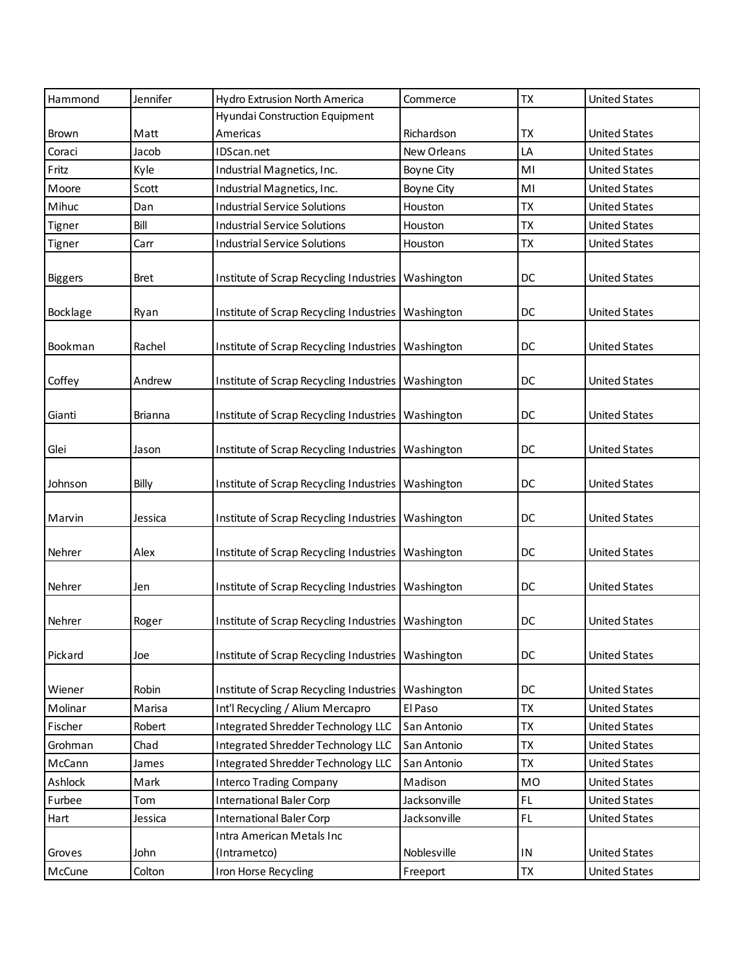| Hammond        | Jennifer       | Hydro Extrusion North America                        | Commerce     | <b>TX</b>      | <b>United States</b> |
|----------------|----------------|------------------------------------------------------|--------------|----------------|----------------------|
|                |                | Hyundai Construction Equipment                       |              |                |                      |
| <b>Brown</b>   | Matt           | Americas                                             | Richardson   | TX             | <b>United States</b> |
| Coraci         | Jacob          | IDScan.net                                           | New Orleans  | LA             | <b>United States</b> |
| Fritz          | Kyle           | Industrial Magnetics, Inc.                           | Boyne City   | M <sub>l</sub> | <b>United States</b> |
| Moore          | Scott          | Industrial Magnetics, Inc.                           | Boyne City   | MI             | <b>United States</b> |
| Mihuc          | Dan            | <b>Industrial Service Solutions</b>                  | Houston      | TX             | <b>United States</b> |
| Tigner         | Bill           | <b>Industrial Service Solutions</b>                  | Houston      | TX             | <b>United States</b> |
| Tigner         | Carr           | <b>Industrial Service Solutions</b>                  | Houston      | TX             | <b>United States</b> |
| <b>Biggers</b> | <b>Bret</b>    | Institute of Scrap Recycling Industries              | Washington   | DC             | <b>United States</b> |
| Bocklage       | Ryan           | Institute of Scrap Recycling Industries              | Washington   | DC             | <b>United States</b> |
| Bookman        | Rachel         | Institute of Scrap Recycling Industries              | Washington   | DC             | <b>United States</b> |
| Coffey         | Andrew         | Institute of Scrap Recycling Industries              | Washington   | DC             | <b>United States</b> |
| Gianti         | <b>Brianna</b> | Institute of Scrap Recycling Industries              | Washington   | DC             | <b>United States</b> |
| Glei           | Jason          | Institute of Scrap Recycling Industries              | Washington   | DC             | <b>United States</b> |
| Johnson        | Billy          | Institute of Scrap Recycling Industries              | Washington   | DC             | <b>United States</b> |
| Marvin         | Jessica        | Institute of Scrap Recycling Industries              | Washington   | DC             | <b>United States</b> |
| Nehrer         | Alex           | Institute of Scrap Recycling Industries              | Washington   | DC             | <b>United States</b> |
| Nehrer         | Jen            | Institute of Scrap Recycling Industries              | Washington   | DC             | <b>United States</b> |
| Nehrer         | Roger          | Institute of Scrap Recycling Industries              | Washington   | DC             | <b>United States</b> |
| Pickard        | Joe            | Institute of Scrap Recycling Industries   Washington |              | DC             | <b>United States</b> |
| Wiener         | Robin          | Institute of Scrap Recycling Industries              | Washington   | DC             | <b>United States</b> |
| Molinar        | Marisa         | Int'l Recycling / Alium Mercapro                     | El Paso      | <b>TX</b>      | <b>United States</b> |
| Fischer        | Robert         | Integrated Shredder Technology LLC                   | San Antonio  | <b>TX</b>      | <b>United States</b> |
| Grohman        | Chad           | Integrated Shredder Technology LLC                   | San Antonio  | <b>TX</b>      | <b>United States</b> |
| McCann         | James          | Integrated Shredder Technology LLC                   | San Antonio  | <b>TX</b>      | <b>United States</b> |
| Ashlock        | Mark           | <b>Interco Trading Company</b>                       | Madison      | <b>MO</b>      | <b>United States</b> |
| Furbee         | Tom            | <b>International Baler Corp</b>                      | Jacksonville | FL.            | <b>United States</b> |
| Hart           | Jessica        | <b>International Baler Corp</b>                      | Jacksonville | FL             | <b>United States</b> |
|                |                | Intra American Metals Inc                            |              |                |                      |
| Groves         | John           | (Intrametco)                                         | Noblesville  | ${\sf IN}$     | <b>United States</b> |
| McCune         | Colton         | Iron Horse Recycling                                 | Freeport     | TX             | <b>United States</b> |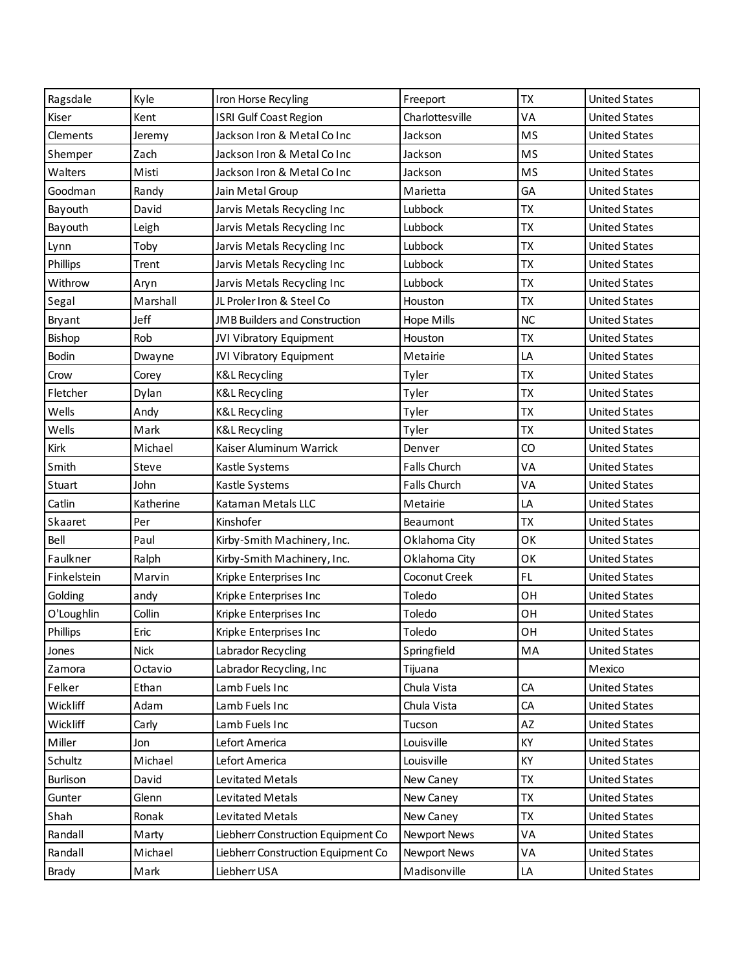| Ragsdale    | Kyle        | Iron Horse Recyling                  | Freeport            | <b>TX</b> | <b>United States</b> |
|-------------|-------------|--------------------------------------|---------------------|-----------|----------------------|
| Kiser       | Kent        | ISRI Gulf Coast Region               | Charlottesville     | VA        | <b>United States</b> |
| Clements    | Jeremy      | Jackson Iron & Metal Co Inc          | Jackson             | <b>MS</b> | <b>United States</b> |
| Shemper     | Zach        | Jackson Iron & Metal Co Inc          | Jackson             | <b>MS</b> | <b>United States</b> |
| Walters     | Misti       | Jackson Iron & Metal Co Inc          | Jackson             | <b>MS</b> | <b>United States</b> |
| Goodman     | Randy       | Jain Metal Group                     | Marietta            | GA        | <b>United States</b> |
| Bayouth     | David       | Jarvis Metals Recycling Inc          | Lubbock             | <b>ΤX</b> | <b>United States</b> |
| Bayouth     | Leigh       | Jarvis Metals Recycling Inc          | Lubbock             | <b>TX</b> | <b>United States</b> |
| Lynn        | Toby        | Jarvis Metals Recycling Inc          | Lubbock             | <b>ΤX</b> | <b>United States</b> |
| Phillips    | Trent       | Jarvis Metals Recycling Inc          | Lubbock             | <b>ΤΧ</b> | <b>United States</b> |
| Withrow     | Aryn        | Jarvis Metals Recycling Inc          | Lubbock             | <b>ΤΧ</b> | <b>United States</b> |
| Segal       | Marshall    | JL Proler Iron & Steel Co            | Houston             | <b>TX</b> | <b>United States</b> |
| Bryant      | Jeff        | <b>JMB Builders and Construction</b> | Hope Mills          | NC        | <b>United States</b> |
| Bishop      | Rob         | JVI Vibratory Equipment              | Houston             | <b>TX</b> | <b>United States</b> |
| Bodin       | Dwayne      | JVI Vibratory Equipment              | Metairie            | LA        | <b>United States</b> |
| Crow        | Corey       | <b>K&amp;L Recycling</b>             | Tyler               | <b>TX</b> | <b>United States</b> |
| Fletcher    | Dylan       | <b>K&amp;L Recycling</b>             | Tyler               | <b>ΤX</b> | <b>United States</b> |
| Wells       | Andy        | <b>K&amp;L Recycling</b>             | Tyler               | <b>ΤΧ</b> | <b>United States</b> |
| Wells       | Mark        | <b>K&amp;L Recycling</b>             | Tyler               | <b>ΤX</b> | <b>United States</b> |
| Kirk        | Michael     | Kaiser Aluminum Warrick              | Denver              | CO        | <b>United States</b> |
| Smith       | Steve       | Kastle Systems                       | Falls Church        | VA        | <b>United States</b> |
| Stuart      | John        | Kastle Systems                       | <b>Falls Church</b> | VA        | <b>United States</b> |
| Catlin      | Katherine   | Kataman Metals LLC                   | Metairie            | LA        | <b>United States</b> |
| Skaaret     | Per         | Kinshofer                            | <b>Beaumont</b>     | <b>ΤΧ</b> | <b>United States</b> |
| Bell        | Paul        | Kirby-Smith Machinery, Inc.          | Oklahoma City       | OK        | <b>United States</b> |
| Faulkner    | Ralph       | Kirby-Smith Machinery, Inc.          | Oklahoma City       | OK        | <b>United States</b> |
| Finkelstein | Marvin      | Kripke Enterprises Inc               | Coconut Creek       | FL.       | <b>United States</b> |
| Golding     | andy        | Kripke Enterprises Inc               | Toledo              | OH        | <b>United States</b> |
| O'Loughlin  | Collin      | Kripke Enterprises Inc               | Toledo              | OH        | <b>United States</b> |
| Phillips    | Eric        | Kripke Enterprises Inc               | Toledo              | OH        | <b>United States</b> |
| Jones       | <b>Nick</b> | Labrador Recycling                   | Springfield         | MA        | <b>United States</b> |
| Zamora      | Octavio     | Labrador Recycling, Inc              | Tijuana             |           | Mexico               |
| Felker      | Ethan       | Lamb Fuels Inc                       | Chula Vista         | CA        | <b>United States</b> |
| Wickliff    | Adam        | Lamb Fuels Inc                       | Chula Vista         | CA        | <b>United States</b> |
| Wickliff    | Carly       | Lamb Fuels Inc                       | Tucson              | AZ        | <b>United States</b> |
| Miller      | Jon         | Lefort America                       | Louisville          | KY        | <b>United States</b> |
| Schultz     | Michael     | Lefort America                       | Louisville          | KY        | <b>United States</b> |
| Burlison    | David       | Levitated Metals                     | New Caney           | <b>ΤX</b> | <b>United States</b> |
| Gunter      | Glenn       | Levitated Metals                     | New Caney           | <b>TX</b> | <b>United States</b> |
| Shah        | Ronak       | Levitated Metals                     | New Caney           | <b>ΤX</b> | <b>United States</b> |
| Randall     | Marty       | Liebherr Construction Equipment Co   | <b>Newport News</b> | VA        | <b>United States</b> |
| Randall     | Michael     | Liebherr Construction Equipment Co   | <b>Newport News</b> | VA        | <b>United States</b> |
| Brady       | Mark        | Liebherr USA                         | Madisonville        | LA        | <b>United States</b> |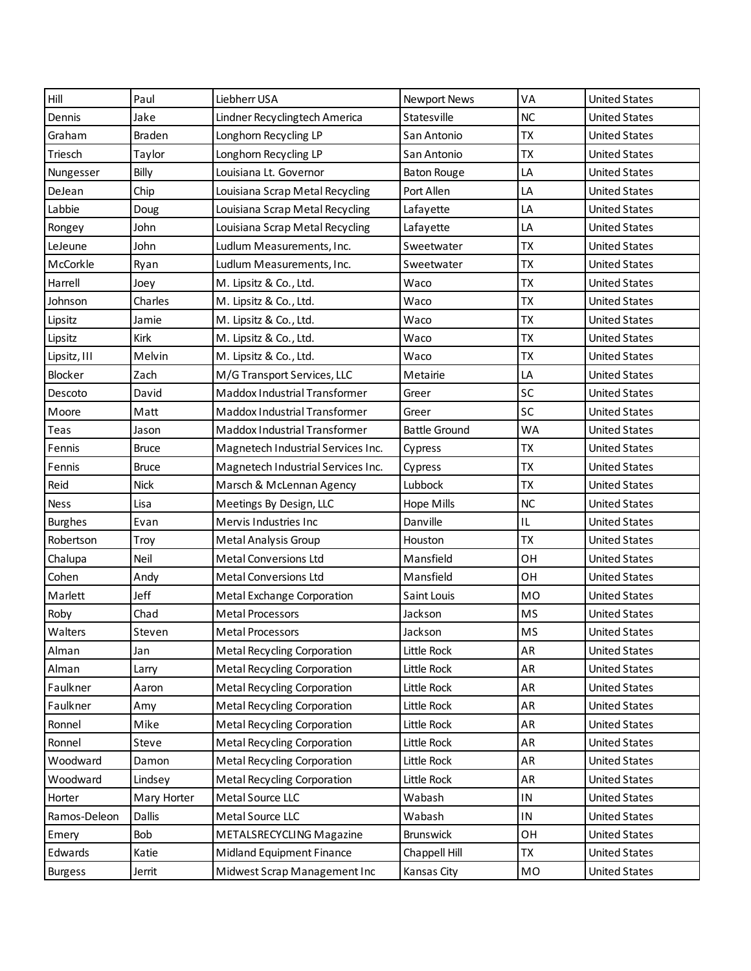| Hill           | Paul          | Liebherr USA                       | <b>Newport News</b>  | VA            | <b>United States</b> |
|----------------|---------------|------------------------------------|----------------------|---------------|----------------------|
| Dennis         | Jake          | Lindner Recyclingtech America      | Statesville          | <b>NC</b>     | <b>United States</b> |
| Graham         | <b>Braden</b> | Longhorn Recycling LP              | San Antonio          | <b>TX</b>     | <b>United States</b> |
| Triesch        | Taylor        | Longhorn Recycling LP              | San Antonio          | <b>TX</b>     | <b>United States</b> |
| Nungesser      | Billy         | Louisiana Lt. Governor             | <b>Baton Rouge</b>   | LA            | <b>United States</b> |
| DeJean         | Chip          | Louisiana Scrap Metal Recycling    | Port Allen           | LA            | <b>United States</b> |
| Labbie         | Doug          | Louisiana Scrap Metal Recycling    | Lafayette            | LA            | <b>United States</b> |
| Rongey         | John          | Louisiana Scrap Metal Recycling    | Lafayette            | LA            | <b>United States</b> |
| LeJeune        | John          | Ludlum Measurements, Inc.          | Sweetwater           | <b>ΤΧ</b>     | <b>United States</b> |
| McCorkle       | Ryan          | Ludlum Measurements, Inc.          | Sweetwater           | <b>ΤΧ</b>     | <b>United States</b> |
| Harrell        | Joey          | M. Lipsitz & Co., Ltd.             | Waco                 | <b>ΤΧ</b>     | <b>United States</b> |
| Johnson        | Charles       | M. Lipsitz & Co., Ltd.             | Waco                 | <b>TX</b>     | <b>United States</b> |
| Lipsitz        | Jamie         | M. Lipsitz & Co., Ltd.             | Waco                 | <b>ΤΧ</b>     | <b>United States</b> |
| Lipsitz        | Kirk          | M. Lipsitz & Co., Ltd.             | Waco                 | <b>TX</b>     | <b>United States</b> |
| Lipsitz, III   | Melvin        | M. Lipsitz & Co., Ltd.             | Waco                 | <b>ΤΧ</b>     | <b>United States</b> |
| Blocker        | Zach          | M/G Transport Services, LLC        | Metairie             | LA            | <b>United States</b> |
| Descoto        | David         | Maddox Industrial Transformer      | Greer                | SC            | <b>United States</b> |
| Moore          | Matt          | Maddox Industrial Transformer      | Greer                | SC            | <b>United States</b> |
| Teas           | Jason         | Maddox Industrial Transformer      | <b>Battle Ground</b> | <b>WA</b>     | <b>United States</b> |
| Fennis         | <b>Bruce</b>  | Magnetech Industrial Services Inc. | Cypress              | <b>TX</b>     | <b>United States</b> |
| Fennis         | <b>Bruce</b>  | Magnetech Industrial Services Inc. | Cypress              | <b>TX</b>     | <b>United States</b> |
| Reid           | <b>Nick</b>   | Marsch & McLennan Agency           | Lubbock              | <b>TX</b>     | <b>United States</b> |
| <b>Ness</b>    | Lisa          | Meetings By Design, LLC            | Hope Mills           | <b>NC</b>     | <b>United States</b> |
| <b>Burghes</b> | Evan          | Mervis Industries Inc              | Danville             | IL            | <b>United States</b> |
| Robertson      | Troy          | Metal Analysis Group               | Houston              | <b>TX</b>     | <b>United States</b> |
| Chalupa        | Neil          | <b>Metal Conversions Ltd</b>       | Mansfield            | OH            | <b>United States</b> |
| Cohen          | Andy          | <b>Metal Conversions Ltd</b>       | Mansfield            | OH            | <b>United States</b> |
| Marlett        | Jeff          | Metal Exchange Corporation         | Saint Louis          | <b>MO</b>     | <b>United States</b> |
| Roby           | Chad          | <b>Metal Processors</b>            | Jackson              | <b>MS</b>     | <b>United States</b> |
| Walters        | Steven        | <b>Metal Processors</b>            | Jackson              | <b>MS</b>     | <b>United States</b> |
| Alman          | Jan           | <b>Metal Recycling Corporation</b> | Little Rock          | AR            | <b>United States</b> |
| Alman          | Larry         | <b>Metal Recycling Corporation</b> | Little Rock          | AR            | <b>United States</b> |
| Faulkner       | Aaron         | <b>Metal Recycling Corporation</b> | Little Rock          | AR            | <b>United States</b> |
| Faulkner       | Amy           | <b>Metal Recycling Corporation</b> | Little Rock          | AR            | <b>United States</b> |
| Ronnel         | Mike          | <b>Metal Recycling Corporation</b> | Little Rock          | AR            | <b>United States</b> |
| Ronnel         | Steve         | <b>Metal Recycling Corporation</b> | Little Rock          | AR            | <b>United States</b> |
| Woodward       | Damon         | <b>Metal Recycling Corporation</b> | Little Rock          | AR            | <b>United States</b> |
| Woodward       | Lindsey       | <b>Metal Recycling Corporation</b> | Little Rock          | AR            | <b>United States</b> |
| Horter         | Mary Horter   | Metal Source LLC                   | Wabash               | ${\sf IN}$    | <b>United States</b> |
| Ramos-Deleon   | <b>Dallis</b> | Metal Source LLC                   | Wabash               | $\mathsf{IN}$ | <b>United States</b> |
| Emery          | Bob           | METALSRECYCLING Magazine           | Brunswick            | OH            | <b>United States</b> |
| Edwards        | Katie         | Midland Equipment Finance          | Chappell Hill        | <b>TX</b>     | <b>United States</b> |
| <b>Burgess</b> | Jerrit        | Midwest Scrap Management Inc       | Kansas City          | MO            | <b>United States</b> |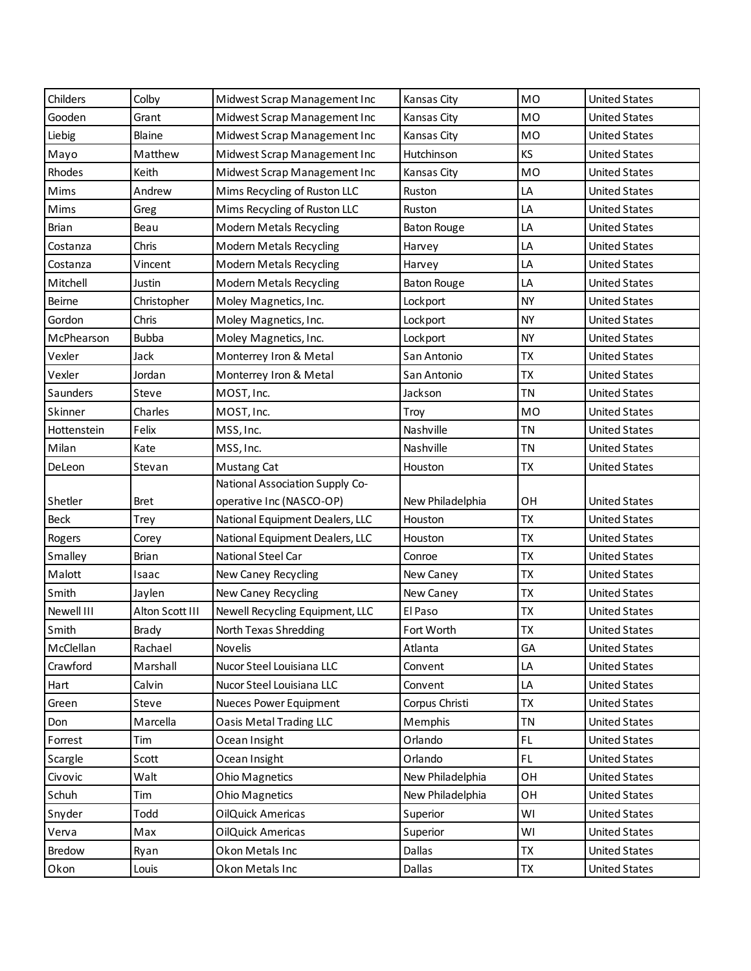| Childers      | Colby           | Midwest Scrap Management Inc    | Kansas City        | MO        | <b>United States</b> |
|---------------|-----------------|---------------------------------|--------------------|-----------|----------------------|
| Gooden        | Grant           | Midwest Scrap Management Inc    | Kansas City        | <b>MO</b> | <b>United States</b> |
| Liebig        | Blaine          | Midwest Scrap Management Inc    | Kansas City        | MO        | <b>United States</b> |
| Mayo          | Matthew         | Midwest Scrap Management Inc    | Hutchinson         | KS        | <b>United States</b> |
| Rhodes        | Keith           | Midwest Scrap Management Inc    | Kansas City        | MO        | <b>United States</b> |
| Mims          | Andrew          | Mims Recycling of Ruston LLC    | Ruston             | LA        | <b>United States</b> |
| Mims          | Greg            | Mims Recycling of Ruston LLC    | Ruston             | LA        | <b>United States</b> |
| <b>Brian</b>  | Beau            | <b>Modern Metals Recycling</b>  | <b>Baton Rouge</b> | LA        | <b>United States</b> |
| Costanza      | Chris           | <b>Modern Metals Recycling</b>  | Harvey             | LA        | <b>United States</b> |
| Costanza      | Vincent         | <b>Modern Metals Recycling</b>  | Harvey             | LA        | <b>United States</b> |
| Mitchell      | Justin          | <b>Modern Metals Recycling</b>  | <b>Baton Rouge</b> | LA        | <b>United States</b> |
| <b>Beirne</b> | Christopher     | Moley Magnetics, Inc.           | Lockport           | <b>NY</b> | <b>United States</b> |
| Gordon        | Chris           | Moley Magnetics, Inc.           | Lockport           | <b>NY</b> | <b>United States</b> |
| McPhearson    | <b>Bubba</b>    | Moley Magnetics, Inc.           | Lockport           | <b>NY</b> | <b>United States</b> |
| Vexler        | Jack            | Monterrey Iron & Metal          | San Antonio        | <b>TX</b> | <b>United States</b> |
| Vexler        | Jordan          | Monterrey Iron & Metal          | San Antonio        | <b>TX</b> | <b>United States</b> |
| Saunders      | Steve           | MOST, Inc.                      | Jackson            | <b>TN</b> | <b>United States</b> |
| Skinner       | Charles         | MOST, Inc.                      | Troy               | <b>MO</b> | <b>United States</b> |
| Hottenstein   | Felix           | MSS, Inc.                       | Nashville          | <b>TN</b> | <b>United States</b> |
| Milan         | Kate            | MSS, Inc.                       | Nashville          | <b>TN</b> | <b>United States</b> |
| DeLeon        | Stevan          | Mustang Cat                     | Houston            | <b>TX</b> | <b>United States</b> |
|               |                 | National Association Supply Co- |                    |           |                      |
| Shetler       | <b>Bret</b>     | operative Inc (NASCO-OP)        | New Philadelphia   | OH        | <b>United States</b> |
| <b>Beck</b>   | <b>Trey</b>     | National Equipment Dealers, LLC | Houston            | <b>ΤΧ</b> | <b>United States</b> |
| Rogers        | Corey           | National Equipment Dealers, LLC | Houston            | TX        | <b>United States</b> |
| Smalley       | <b>Brian</b>    | National Steel Car              | Conroe             | <b>TX</b> | <b>United States</b> |
| Malott        | Isaac           | New Caney Recycling             | New Caney          |           |                      |
| Smith         |                 |                                 |                    | <b>ΤΧ</b> | <b>United States</b> |
|               | Jaylen          | New Caney Recycling             | New Caney          | <b>TX</b> | <b>United States</b> |
| Newell III    | Alton Scott III | Newell Recycling Equipment, LLC | El Paso            | TX        | <b>United States</b> |
| Smith         | Brady           | North Texas Shredding           | Fort Worth         | <b>TX</b> | <b>United States</b> |
| McClellan     | Rachael         | Novelis                         | Atlanta            | GA        | <b>United States</b> |
| Crawford      | Marshall        | Nucor Steel Louisiana LLC       | Convent            | LA        | <b>United States</b> |
| Hart          | Calvin          | Nucor Steel Louisiana LLC       | Convent            | LA        | <b>United States</b> |
| Green         | Steve           | Nueces Power Equipment          | Corpus Christi     | <b>TX</b> | <b>United States</b> |
| Don           | Marcella        | <b>Oasis Metal Trading LLC</b>  | Memphis            | <b>TN</b> | <b>United States</b> |
| Forrest       | Tim             | Ocean Insight                   | Orlando            | FL.       | <b>United States</b> |
| Scargle       | Scott           | Ocean Insight                   | Orlando            | FL.       | <b>United States</b> |
| Civovic       | Walt            | Ohio Magnetics                  | New Philadelphia   | OH        | <b>United States</b> |
| Schuh         | Tim             | <b>Ohio Magnetics</b>           | New Philadelphia   | ОH        | <b>United States</b> |
| Snyder        | Todd            | OilQuick Americas               | Superior           | WI        | <b>United States</b> |
| Verva         | Max             | OilQuick Americas               | Superior           | WI        | <b>United States</b> |
| Bredow        | Ryan            | Okon Metals Inc                 | Dallas             | <b>TX</b> | <b>United States</b> |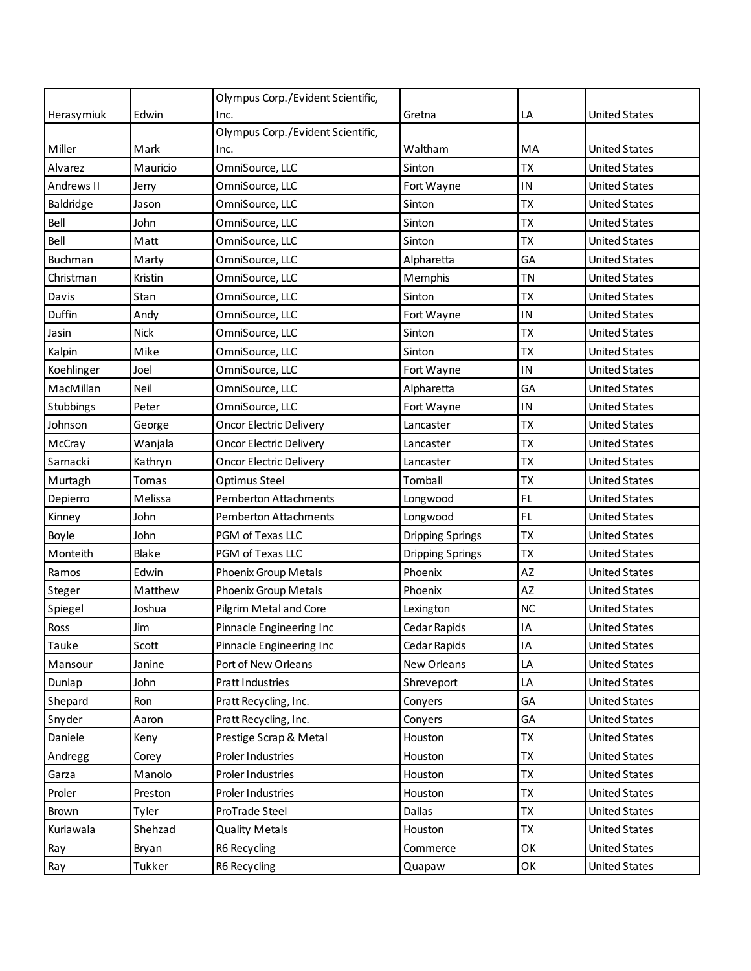|            |             | Olympus Corp./Evident Scientific, |                         |           |                      |
|------------|-------------|-----------------------------------|-------------------------|-----------|----------------------|
| Herasymiuk | Edwin       | Inc.                              | Gretna                  | LA        | <b>United States</b> |
|            |             | Olympus Corp./Evident Scientific, |                         |           |                      |
| Miller     | Mark        | Inc.                              | Waltham                 | MA        | <b>United States</b> |
| Alvarez    | Mauricio    | OmniSource, LLC                   | Sinton                  | <b>TX</b> | <b>United States</b> |
| Andrews II | Jerry       | OmniSource, LLC                   | Fort Wayne              | IN        | <b>United States</b> |
| Baldridge  | Jason       | OmniSource, LLC                   | Sinton                  | <b>TX</b> | <b>United States</b> |
| Bell       | John        | OmniSource, LLC                   | Sinton                  | TX        | <b>United States</b> |
| Bell       | Matt        | OmniSource, LLC                   | Sinton                  | <b>TX</b> | <b>United States</b> |
| Buchman    | Marty       | OmniSource, LLC                   | Alpharetta              | GA        | <b>United States</b> |
| Christman  | Kristin     | OmniSource, LLC                   | Memphis                 | <b>TN</b> | <b>United States</b> |
| Davis      | Stan        | OmniSource, LLC                   | Sinton                  | <b>TX</b> | <b>United States</b> |
| Duffin     | Andy        | OmniSource, LLC                   | Fort Wayne              | IN        | <b>United States</b> |
| Jasin      | <b>Nick</b> | OmniSource, LLC                   | Sinton                  | <b>TX</b> | <b>United States</b> |
| Kalpin     | Mike        | OmniSource, LLC                   | Sinton                  | <b>TX</b> | <b>United States</b> |
| Koehlinger | Joel        | OmniSource, LLC                   | Fort Wayne              | IN        | <b>United States</b> |
| MacMillan  | Neil        | OmniSource, LLC                   | Alpharetta              | GA        | <b>United States</b> |
| Stubbings  | Peter       | OmniSource, LLC                   | Fort Wayne              | IN        | <b>United States</b> |
| Johnson    | George      | <b>Oncor Electric Delivery</b>    | Lancaster               | <b>TX</b> | <b>United States</b> |
| McCray     | Wanjala     | <b>Oncor Electric Delivery</b>    | Lancaster               | <b>TX</b> | <b>United States</b> |
| Sarnacki   | Kathryn     | <b>Oncor Electric Delivery</b>    | Lancaster               | <b>TX</b> | <b>United States</b> |
| Murtagh    | Tomas       | Optimus Steel                     | Tomball                 | <b>TX</b> | <b>United States</b> |
| Depierro   | Melissa     | <b>Pemberton Attachments</b>      | Longwood                | FL        | <b>United States</b> |
| Kinney     | John        | <b>Pemberton Attachments</b>      | Longwood                | FL.       | <b>United States</b> |
| Boyle      | John        | PGM of Texas LLC                  | <b>Dripping Springs</b> | <b>TX</b> | <b>United States</b> |
| Monteith   | Blake       | PGM of Texas LLC                  | <b>Dripping Springs</b> | <b>TX</b> | <b>United States</b> |
| Ramos      | Edwin       | Phoenix Group Metals              | Phoenix                 | <b>AZ</b> | <b>United States</b> |
| Steger     | Matthew     | Phoenix Group Metals              | Phoenix                 | AZ        | <b>United States</b> |
| Spiegel    | Joshua      | Pilgrim Metal and Core            | Lexington               | <b>NC</b> | <b>United States</b> |
| Ross       | Jim         | Pinnacle Engineering Inc          | Cedar Rapids            | IA        | <b>United States</b> |
| Tauke      | Scott       | Pinnacle Engineering Inc          | Cedar Rapids            | IA        | <b>United States</b> |
| Mansour    | Janine      | Port of New Orleans               | New Orleans             | LA        | <b>United States</b> |
| Dunlap     | John        | Pratt Industries                  | Shreveport              | LA        | <b>United States</b> |
| Shepard    | Ron         | Pratt Recycling, Inc.             | Conyers                 | GA        | <b>United States</b> |
| Snyder     | Aaron       | Pratt Recycling, Inc.             | Conyers                 | GA        | <b>United States</b> |
| Daniele    | Keny        | Prestige Scrap & Metal            | Houston                 | TX        | <b>United States</b> |
| Andregg    | Corey       | Proler Industries                 | Houston                 | <b>TX</b> | <b>United States</b> |
| Garza      | Manolo      | Proler Industries                 | Houston                 | <b>TX</b> | <b>United States</b> |
| Proler     | Preston     | Proler Industries                 | Houston                 | <b>TX</b> | <b>United States</b> |
| Brown      | Tyler       | ProTrade Steel                    | Dallas                  | <b>TX</b> | <b>United States</b> |
| Kurlawala  | Shehzad     | <b>Quality Metals</b>             | Houston                 | <b>TX</b> | <b>United States</b> |
| Ray        | Bryan       | R6 Recycling                      | Commerce                | OK        | <b>United States</b> |
| Ray        | Tukker      | R6 Recycling                      | Quapaw                  | OK        | <b>United States</b> |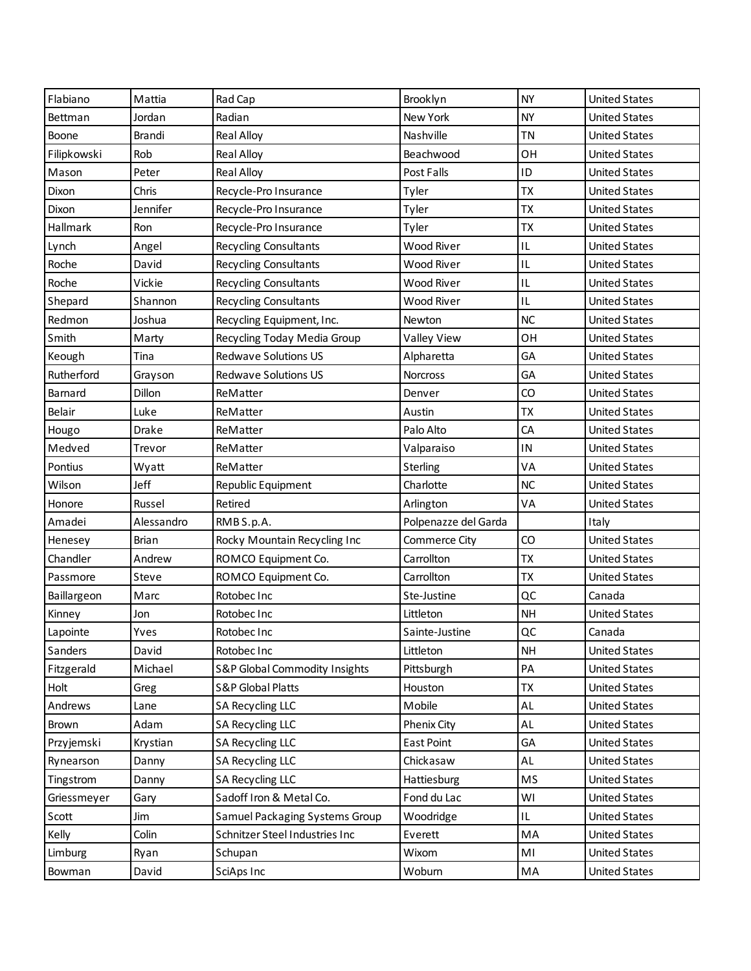| Flabiano        | Mattia       | Rad Cap                        | Brooklyn             | <b>NY</b> | <b>United States</b> |
|-----------------|--------------|--------------------------------|----------------------|-----------|----------------------|
| Bettman         | Jordan       | Radian                         | New York             | <b>NY</b> | <b>United States</b> |
| Boone           | Brandi       | <b>Real Alloy</b>              | Nashville            | <b>TN</b> | <b>United States</b> |
| Filipkowski     | Rob          | <b>Real Alloy</b>              | Beachwood            | OH        | <b>United States</b> |
| Mason           | Peter        | <b>Real Alloy</b>              | Post Falls           | ID        | <b>United States</b> |
| Dixon           | Chris        | Recycle-Pro Insurance          | Tyler                | <b>TX</b> | <b>United States</b> |
| Dixon           | Jennifer     | Recycle-Pro Insurance          | Tyler                | <b>TX</b> | <b>United States</b> |
| <b>Hallmark</b> | Ron          | Recycle-Pro Insurance          | Tyler                | <b>TX</b> | <b>United States</b> |
| Lynch           | Angel        | Recycling Consultants          | <b>Wood River</b>    | IL        | <b>United States</b> |
| Roche           | David        | Recycling Consultants          | Wood River           | IL        | <b>United States</b> |
| Roche           | Vickie       | Recycling Consultants          | Wood River           | IL        | <b>United States</b> |
| Shepard         | Shannon      | Recycling Consultants          | Wood River           | IL        | <b>United States</b> |
| Redmon          | Joshua       | Recycling Equipment, Inc.      | Newton               | NC        | <b>United States</b> |
| Smith           | Marty        | Recycling Today Media Group    | Valley View          | OH        | <b>United States</b> |
| Keough          | Tina         | <b>Redwave Solutions US</b>    | Alpharetta           | GA        | <b>United States</b> |
| Rutherford      | Grayson      | <b>Redwave Solutions US</b>    | <b>Norcross</b>      | GA        | <b>United States</b> |
| Barnard         | Dillon       | ReMatter                       | Denver               | CO        | <b>United States</b> |
| Belair          | Luke         | ReMatter                       | Austin               | <b>TX</b> | <b>United States</b> |
| Hougo           | Drake        | ReMatter                       | Palo Alto            | CA        | <b>United States</b> |
| Medved          | Trevor       | ReMatter                       | Valparaiso           | IN        | <b>United States</b> |
| Pontius         | Wyatt        | ReMatter                       | Sterling             | VA        | <b>United States</b> |
| Wilson          | Jeff         | Republic Equipment             | Charlotte            | <b>NC</b> | <b>United States</b> |
| Honore          | Russel       | Retired                        | Arlington            | VA        | <b>United States</b> |
| Amadei          | Alessandro   | RMB S.p.A.                     | Polpenazze del Garda |           | Italy                |
| Henesey         | <b>Brian</b> | Rocky Mountain Recycling Inc   | Commerce City        | CO        | <b>United States</b> |
| Chandler        | Andrew       | ROMCO Equipment Co.            | Carrollton           | <b>TX</b> | <b>United States</b> |
| Passmore        | Steve        | ROMCO Equipment Co.            | Carrollton           | <b>TX</b> | <b>United States</b> |
| Baillargeon     | Marc         | Rotobec Inc                    | Ste-Justine          | QC        | Canada               |
| Kinney          | Jon          | Rotobec Inc                    | Littleton            | <b>NH</b> | <b>United States</b> |
| Lapointe        | Yves         | Rotobec Inc                    | Sainte-Justine       | QC        | Canada               |
| Sanders         | David        | Rotobec Inc                    | Littleton            | <b>NH</b> | <b>United States</b> |
| Fitzgerald      | Michael      | S&P Global Commodity Insights  | Pittsburgh           | PA        | <b>United States</b> |
| Holt            | Greg         | <b>S&amp;P Global Platts</b>   | Houston              | <b>TX</b> | <b>United States</b> |
| Andrews         | Lane         | SA Recycling LLC               | Mobile               | AL        | <b>United States</b> |
| Brown           | Adam         | <b>SA Recycling LLC</b>        | Phenix City          | AL        | <b>United States</b> |
| Przyjemski      | Krystian     | <b>SA Recycling LLC</b>        | <b>East Point</b>    | GA        | <b>United States</b> |
| Rynearson       | Danny        | <b>SA Recycling LLC</b>        | Chickasaw            | AL        | <b>United States</b> |
| Tingstrom       | Danny        | <b>SA Recycling LLC</b>        | Hattiesburg          | MS        | <b>United States</b> |
| Griessmeyer     | Gary         | Sadoff Iron & Metal Co.        | Fond du Lac          | WI        | <b>United States</b> |
| Scott           | Jim          | Samuel Packaging Systems Group | Woodridge            | IL.       | <b>United States</b> |
| Kelly           | Colin        | Schnitzer Steel Industries Inc | Everett              | MA        | <b>United States</b> |
| Limburg         | Ryan         | Schupan                        | Wixom                | MI        | <b>United States</b> |
| Bowman          | David        | SciAps Inc                     | Woburn               | MA        | <b>United States</b> |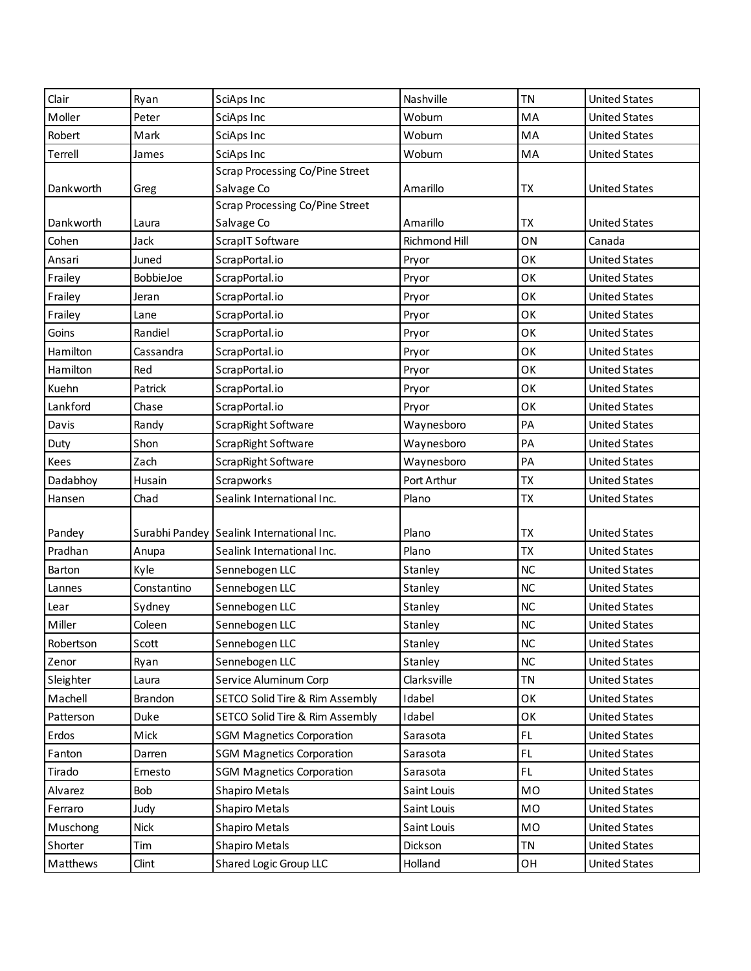| Clair     | Ryan        | SciAps Inc                                | Nashville            | <b>TN</b> | <b>United States</b> |
|-----------|-------------|-------------------------------------------|----------------------|-----------|----------------------|
| Moller    | Peter       | SciAps Inc                                | Woburn               | MA        | <b>United States</b> |
| Robert    | Mark        | SciAps Inc                                | Woburn               | MA        | <b>United States</b> |
| Terrell   | James       | SciAps Inc                                | Woburn               | MA        | <b>United States</b> |
|           |             | <b>Scrap Processing Co/Pine Street</b>    |                      |           |                      |
| Dankworth | Greg        | Salvage Co                                | Amarillo             | ТX        | <b>United States</b> |
|           |             | <b>Scrap Processing Co/Pine Street</b>    |                      |           |                      |
| Dankworth | Laura       | Salvage Co                                | Amarillo             | TX        | <b>United States</b> |
| Cohen     | Jack        | ScrapIT Software                          | <b>Richmond Hill</b> | ON        | Canada               |
| Ansari    | Juned       | ScrapPortal.io                            | Pryor                | OK        | <b>United States</b> |
| Frailey   | BobbieJoe   | ScrapPortal.io                            | Pryor                | OK        | <b>United States</b> |
| Frailey   | Jeran       | ScrapPortal.io                            | Pryor                | OK        | <b>United States</b> |
| Frailey   | Lane        | ScrapPortal.io                            | Pryor                | OK        | <b>United States</b> |
| Goins     | Randiel     | ScrapPortal.io                            | Pryor                | OK        | <b>United States</b> |
| Hamilton  | Cassandra   | ScrapPortal.io                            | Pryor                | OK        | <b>United States</b> |
| Hamilton  | Red         | ScrapPortal.io                            | Pryor                | OK        | <b>United States</b> |
| Kuehn     | Patrick     | ScrapPortal.io                            | Pryor                | OK        | <b>United States</b> |
| Lankford  | Chase       | ScrapPortal.io                            | Pryor                | OK        | <b>United States</b> |
| Davis     | Randy       | ScrapRight Software                       | Waynesboro           | PA        | <b>United States</b> |
| Duty      | Shon        | ScrapRight Software                       | Waynesboro           | PA        | <b>United States</b> |
| Kees      | Zach        | ScrapRight Software                       | Waynesboro           | PA        | <b>United States</b> |
| Dadabhoy  | Husain      | Scrapworks                                | Port Arthur          | TX        | <b>United States</b> |
| Hansen    | Chad        | Sealink International Inc.                | Plano                | <b>ΤΧ</b> | <b>United States</b> |
|           |             |                                           |                      |           |                      |
| Pandey    |             | Surabhi Pandey Sealink International Inc. | Plano                | <b>ΤΧ</b> | <b>United States</b> |
| Pradhan   | Anupa       | Sealink International Inc.                | Plano                | <b>TX</b> | <b>United States</b> |
| Barton    | Kyle        | Sennebogen LLC                            | Stanley              | NC        | <b>United States</b> |
| Lannes    | Constantino | Sennebogen LLC                            | Stanley              | <b>NC</b> | <b>United States</b> |
| Lear      | Sydney      | Sennebogen LLC                            | Stanley              | NC        | <b>United States</b> |
| Miller    | Coleen      | Sennebogen LLC                            | Stanley              | NC        | <b>United States</b> |
| Robertson | Scott       | Sennebogen LLC                            | Stanley              | $NC$      | <b>United States</b> |
| Zenor     | Ryan        | Sennebogen LLC                            | Stanley              | NC        | <b>United States</b> |
| Sleighter | Laura       | Service Aluminum Corp                     | Clarksville          | <b>TN</b> | <b>United States</b> |
| Machell   | Brandon     | SETCO Solid Tire & Rim Assembly           | Idabel               | OK        | <b>United States</b> |
| Patterson | Duke        | SETCO Solid Tire & Rim Assembly           | Idabel               | OK        | <b>United States</b> |
| Erdos     | Mick        | <b>SGM Magnetics Corporation</b>          | Sarasota             | FL        | <b>United States</b> |
| Fanton    | Darren      | <b>SGM Magnetics Corporation</b>          | Sarasota             | FL.       | <b>United States</b> |
| Tirado    | Ernesto     | <b>SGM Magnetics Corporation</b>          | Sarasota             | FL.       | <b>United States</b> |
| Alvarez   | Bob         | <b>Shapiro Metals</b>                     | Saint Louis          | MO        | <b>United States</b> |
| Ferraro   | Judy        | <b>Shapiro Metals</b>                     | Saint Louis          | MO        | <b>United States</b> |
| Muschong  | <b>Nick</b> | <b>Shapiro Metals</b>                     | Saint Louis          | MO        | <b>United States</b> |
| Shorter   | Tim         | <b>Shapiro Metals</b>                     | Dickson              | <b>TN</b> | <b>United States</b> |
|           |             |                                           |                      |           |                      |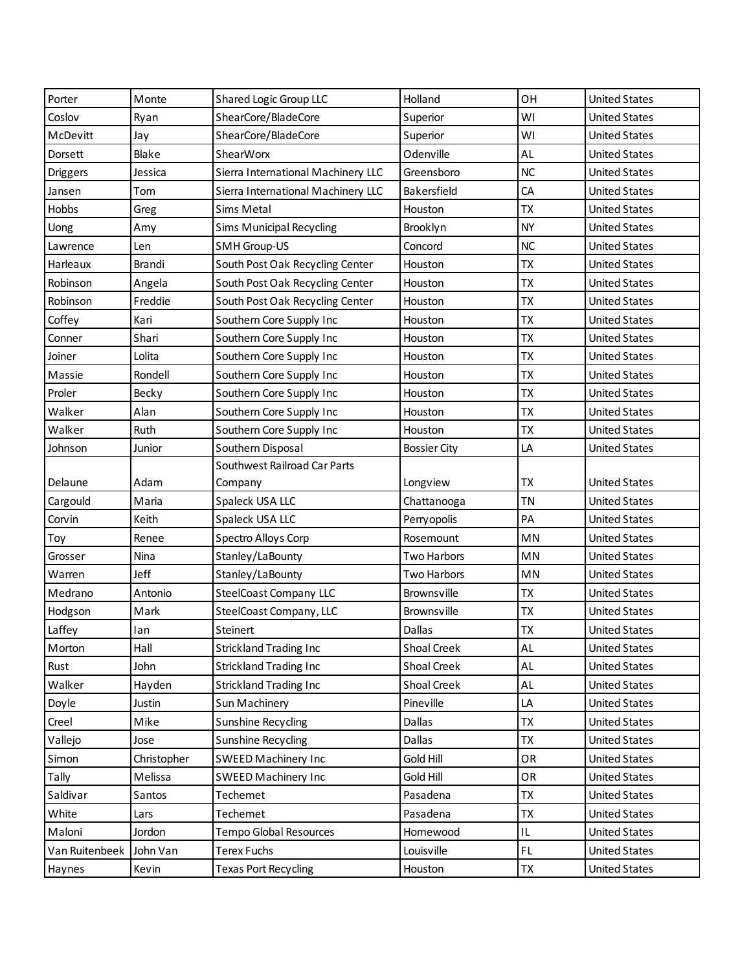| Porter         | Monte       | Shared Logic Group LLC             | Holland             | OH        | <b>United States</b> |
|----------------|-------------|------------------------------------|---------------------|-----------|----------------------|
| Coslov         | Ryan        | ShearCore/BladeCore                | Superior            | WI        | <b>United States</b> |
| McDevitt       | Jay         | ShearCore/BladeCore                | Superior            | WI        | <b>United States</b> |
| Dorsett        | Blake       | ShearWorx                          | Odenville           | AL        | <b>United States</b> |
| Driggers       | Jessica     | Sierra International Machinery LLC | Greensboro          | <b>NC</b> | <b>United States</b> |
| Jansen         | Tom         | Sierra International Machinery LLC | Bakersfield         | CA        | <b>United States</b> |
| Hobbs          | Greg        | <b>Sims Metal</b>                  | Houston             | <b>ΤΧ</b> | <b>United States</b> |
| Uong           | Amy         | <b>Sims Municipal Recycling</b>    | Brooklyn            | <b>NY</b> | <b>United States</b> |
| Lawrence       | Len         | <b>SMH Group-US</b>                | Concord             | <b>NC</b> | <b>United States</b> |
| Harleaux       | Brandi      | South Post Oak Recycling Center    | Houston             | <b>ΤΧ</b> | <b>United States</b> |
| Robinson       | Angela      | South Post Oak Recycling Center    | Houston             | <b>ΤΧ</b> | <b>United States</b> |
| Robinson       | Freddie     | South Post Oak Recycling Center    | Houston             | <b>TX</b> | <b>United States</b> |
| Coffey         | Kari        | Southern Core Supply Inc           | Houston             | <b>ΤΧ</b> | <b>United States</b> |
| Conner         | Shari       | Southern Core Supply Inc           | Houston             | <b>ΤΧ</b> | <b>United States</b> |
| Joiner         | Lolita      | Southern Core Supply Inc           | Houston             | <b>ΤΧ</b> | <b>United States</b> |
| Massie         | Rondell     | Southern Core Supply Inc           | Houston             | <b>TX</b> | <b>United States</b> |
| Proler         | Becky       | Southern Core Supply Inc           | Houston             | <b>ΤΧ</b> | <b>United States</b> |
| Walker         | Alan        | Southern Core Supply Inc           | Houston             | <b>ΤΧ</b> | <b>United States</b> |
| Walker         | Ruth        | Southern Core Supply Inc           | Houston             | <b>ΤΧ</b> | <b>United States</b> |
| Johnson        | Junior      | Southern Disposal                  | <b>Bossier City</b> | LA        | <b>United States</b> |
|                |             | Southwest Railroad Car Parts       |                     |           |                      |
| Delaune        | Adam        | Company                            | Longview            | TX        | <b>United States</b> |
| Cargould       | Maria       | Spaleck USA LLC                    | Chattanooga         | <b>TN</b> | <b>United States</b> |
| Corvin         | Keith       | Spaleck USA LLC                    | Perryopolis         | PA        | <b>United States</b> |
| Toy            | Renee       | Spectro Alloys Corp                | Rosemount           | MN        | <b>United States</b> |
| Grosser        | Nina        | Stanley/LaBounty                   | <b>Two Harbors</b>  | MN        | <b>United States</b> |
| Warren         | Jeff        | Stanley/LaBounty                   | Two Harbors         | MN        | <b>United States</b> |
| Medrano        | Antonio     | <b>SteelCoast Company LLC</b>      | Brownsville         | <b>ΤX</b> | <b>United States</b> |
| Hodgson        | Mark        | SteelCoast Company, LLC            | Brownsville         | <b>ΤΧ</b> | <b>United States</b> |
| Laffey         | lan         | Steinert                           | Dallas              | <b>ΤX</b> | <b>United States</b> |
| Morton         | Hall        | <b>Strickland Trading Inc</b>      | Shoal Creek         | AL        | <b>United States</b> |
| Rust           | John        | <b>Strickland Trading Inc</b>      | Shoal Creek         | AL        | <b>United States</b> |
| Walker         | Hayden      | <b>Strickland Trading Inc</b>      | Shoal Creek         | AL        | <b>United States</b> |
| Doyle          | Justin      | Sun Machinery                      | Pineville           | LA        | <b>United States</b> |
| Creel          | Mike        | Sunshine Recycling                 | Dallas              | <b>TX</b> | <b>United States</b> |
| Vallejo        | Jose        | Sunshine Recycling                 | Dallas              | <b>TX</b> | <b>United States</b> |
| Simon          | Christopher | SWEED Machinery Inc                | Gold Hill           | OR        | <b>United States</b> |
| Tally          | Melissa     | SWEED Machinery Inc                | Gold Hill           | OR        | <b>United States</b> |
| Saldivar       | Santos      | Techemet                           | Pasadena            | TX        | <b>United States</b> |
| White          | Lars        | Techemet                           | Pasadena            | TX        | <b>United States</b> |
| Maloni         | Jordon      | Tempo Global Resources             | Homewood            | IL        | <b>United States</b> |
| Van Ruitenbeek | John Van    | <b>Terex Fuchs</b>                 | Louisville          | FL        | <b>United States</b> |
| Haynes         | Kevin       | <b>Texas Port Recycling</b>        | Houston             | TX        | <b>United States</b> |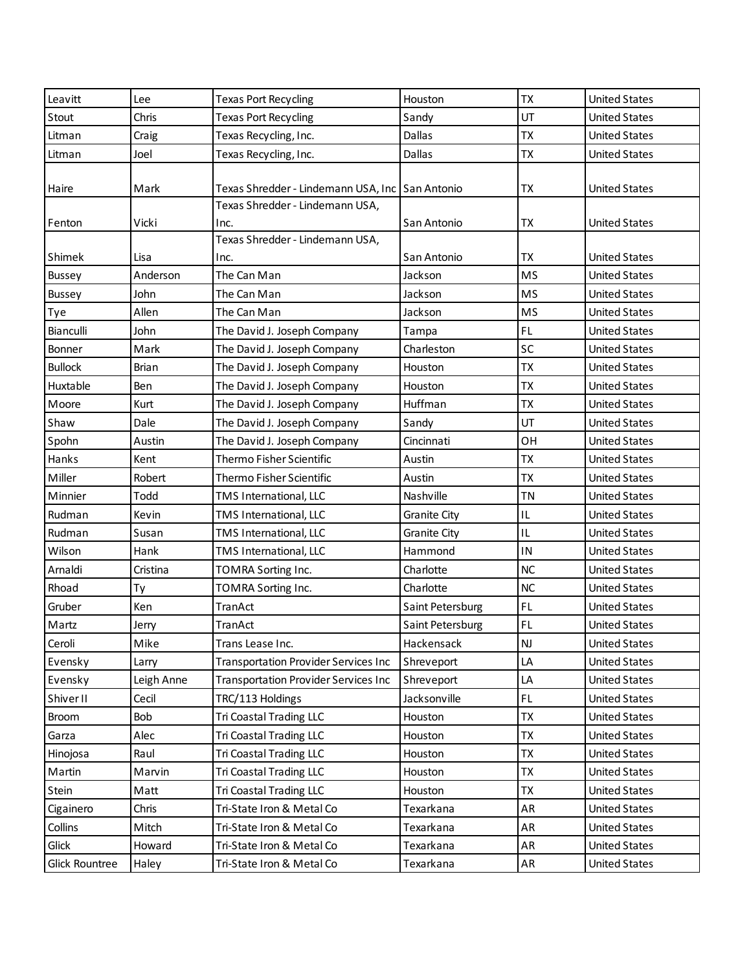| Leavitt        | Lee          | <b>Texas Port Recycling</b>                 | Houston             | <b>TX</b> | <b>United States</b> |
|----------------|--------------|---------------------------------------------|---------------------|-----------|----------------------|
| Stout          | Chris        | <b>Texas Port Recycling</b>                 | Sandy               | UT        | <b>United States</b> |
| Litman         | Craig        | Texas Recycling, Inc.                       | Dallas              | <b>TX</b> | <b>United States</b> |
| Litman         | Joel         | Texas Recycling, Inc.                       | Dallas              | <b>TX</b> | <b>United States</b> |
|                |              |                                             |                     |           |                      |
| Haire          | Mark         | Texas Shredder - Lindemann USA, Inc         | San Antonio         | TX        | <b>United States</b> |
|                |              | Texas Shredder - Lindemann USA,             |                     |           |                      |
| Fenton         | Vicki        | Inc.                                        | San Antonio         | TX        | <b>United States</b> |
|                |              | Texas Shredder - Lindemann USA,             |                     |           |                      |
| Shimek         | Lisa         | Inc.                                        | San Antonio         | <b>TX</b> | <b>United States</b> |
| <b>Bussey</b>  | Anderson     | The Can Man                                 | Jackson             | <b>MS</b> | <b>United States</b> |
| Bussey         | John         | The Can Man                                 | Jackson             | <b>MS</b> | <b>United States</b> |
| Tye            | Allen        | The Can Man                                 | Jackson             | <b>MS</b> | <b>United States</b> |
| Bianculli      | John         | The David J. Joseph Company                 | Tampa               | FL.       | <b>United States</b> |
| Bonner         | Mark         | The David J. Joseph Company                 | Charleston          | SC        | <b>United States</b> |
| <b>Bullock</b> | <b>Brian</b> | The David J. Joseph Company                 | Houston             | <b>TX</b> | <b>United States</b> |
| Huxtable       | Ben          | The David J. Joseph Company                 | Houston             | <b>TX</b> | <b>United States</b> |
| Moore          | Kurt         | The David J. Joseph Company                 | Huffman             | <b>TX</b> | <b>United States</b> |
| Shaw           | Dale         | The David J. Joseph Company                 | Sandy               | UT        | <b>United States</b> |
| Spohn          | Austin       | The David J. Joseph Company                 | Cincinnati          | OH        | <b>United States</b> |
| Hanks          | Kent         | Thermo Fisher Scientific                    | Austin              | <b>TX</b> | <b>United States</b> |
| Miller         | Robert       | Thermo Fisher Scientific                    | Austin              | <b>TX</b> | <b>United States</b> |
| Minnier        | Todd         | TMS International, LLC                      | Nashville           | <b>TN</b> | <b>United States</b> |
| Rudman         | Kevin        | TMS International, LLC                      | <b>Granite City</b> | IL        | <b>United States</b> |
| Rudman         | Susan        | TMS International, LLC                      | <b>Granite City</b> | IL        | <b>United States</b> |
| Wilson         | Hank         | TMS International, LLC                      | Hammond             | IN        | <b>United States</b> |
| Arnaldi        | Cristina     | TOMRA Sorting Inc.                          | Charlotte           | NC        | <b>United States</b> |
| Rhoad          | Ty           | TOMRA Sorting Inc.                          | Charlotte           | NC        | <b>United States</b> |
| Gruber         | Ken          | TranAct                                     | Saint Petersburg    | FL.       | <b>United States</b> |
| Martz          | Jerry        | TranAct                                     | Saint Petersburg    | FL.       | <b>United States</b> |
| Ceroli         | Mike         | Trans Lease Inc.                            | Hackensack          | <b>NJ</b> | <b>United States</b> |
| Evensky        | Larry        | <b>Transportation Provider Services Inc</b> | Shreveport          | LA        | <b>United States</b> |
| Evensky        | Leigh Anne   | <b>Transportation Provider Services Inc</b> | Shreveport          | LA        | <b>United States</b> |
| Shiver II      | Cecil        | TRC/113 Holdings                            | Jacksonville        | FL.       | <b>United States</b> |
| <b>Broom</b>   | Bob          | Tri Coastal Trading LLC                     | Houston             | <b>TX</b> | <b>United States</b> |
| Garza          | Alec         | Tri Coastal Trading LLC                     | Houston             | <b>TX</b> | <b>United States</b> |
| Hinojosa       | Raul         | <b>Tri Coastal Trading LLC</b>              | Houston             | <b>TX</b> | <b>United States</b> |
| Martin         | Marvin       | Tri Coastal Trading LLC                     | Houston             | <b>TX</b> | <b>United States</b> |
| Stein          | Matt         | Tri Coastal Trading LLC                     | Houston             | <b>TX</b> | <b>United States</b> |
| Cigainero      | Chris        | Tri-State Iron & Metal Co                   | Texarkana           | AR        | <b>United States</b> |
| Collins        | Mitch        | Tri-State Iron & Metal Co                   | Texarkana           | AR        | <b>United States</b> |
| Glick          | Howard       | Tri-State Iron & Metal Co                   | Texarkana           | AR        | <b>United States</b> |
| Glick Rountree | Haley        | Tri-State Iron & Metal Co                   | Texarkana           | AR        | <b>United States</b> |